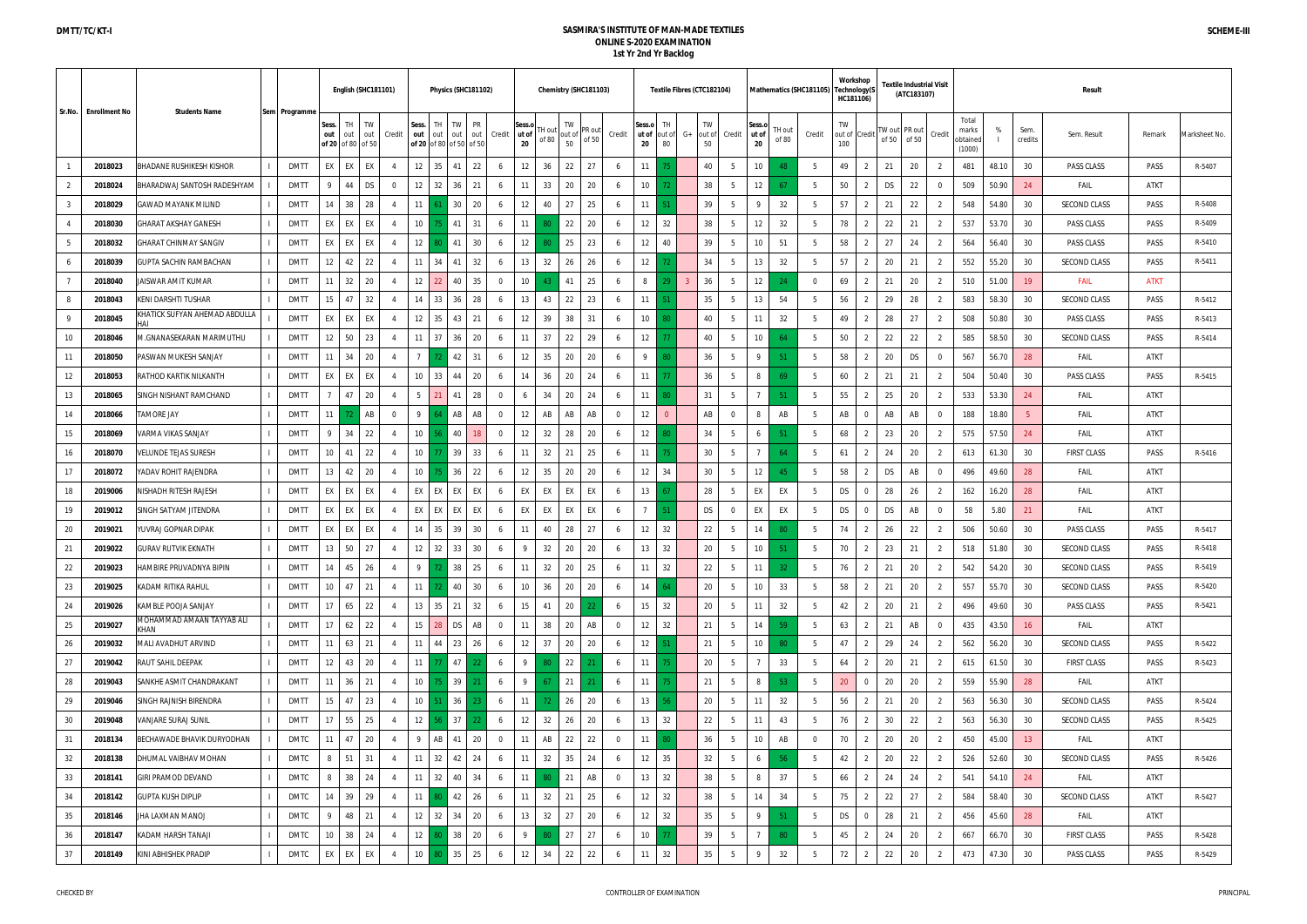|    |                      |                                   |               |                 | English (SHC181101)                         |                |                 |                                      |                 | Physics (SHC181102)  |                       |                |                    | Chemistry (SHC181103) |                |                       | Textile Fibres (CTC182104) |                |                    |                 |                       |                 | Mathematics (SHC181105) |           | Workshop<br>Technology(S<br>HC181106) |    | 「extile Industrial Visit<br>(ATC183107) |                |                                      |       |                 | <b>Result</b>       |             |                |
|----|----------------------|-----------------------------------|---------------|-----------------|---------------------------------------------|----------------|-----------------|--------------------------------------|-----------------|----------------------|-----------------------|----------------|--------------------|-----------------------|----------------|-----------------------|----------------------------|----------------|--------------------|-----------------|-----------------------|-----------------|-------------------------|-----------|---------------------------------------|----|-----------------------------------------|----------------|--------------------------------------|-------|-----------------|---------------------|-------------|----------------|
|    | Sr.No. Enrollment No | <b>Students Name</b>              | Sem Programme | Sess.<br>out    | TW<br>TН<br>out<br>out<br>of 20 of 80 of 50 | Credit         | Sess.<br>out    | TH<br>out<br>of 20 of 80 of 50 of 50 | TW<br>out       | PR<br>out<br>Credit  | Sess.o<br>ut of<br>20 | H out<br>of 80 | TW<br>out of<br>50 | PR out<br>of 50       | Credit         | Sess.c<br>ut of<br>20 | TН<br>out of<br>80         | G+             | TW<br>out of<br>50 | Credit          | Sess.o<br>ut of<br>20 | TH out<br>of 80 | Credit                  | TW<br>100 | out of Credit                         |    | W out PR out<br>of 50 of 50             | Credit         | Total<br>marks<br>obtained<br>(1000) | %     | Sem.<br>credits | Sem. Result         | Remark      | Vlarksheet No. |
|    | 2018023              | <b>BHADANE RUSHIKESH KISHOR</b>   | <b>DMTT</b>   | EX              | EX<br>EX                                    |                | 12              | 35                                   | 41              | 22<br>6              | 12                    | 36             | 22                 | 27                    |                | 11                    |                            |                | 40                 |                 | 10                    | - 48            | 5                       | 49        | $\overline{2}$                        | 21 | 20                                      | -2             | 481                                  | 48.10 | 30              | PASS CLASS          | PASS        | R-5407         |
|    | 2018024              | BHARADWAJ SANTOSH RADESHYAM       | <b>DMTT</b>   | 9               | DS<br>44                                    |                | 12              | 32                                   | 36              | 21<br>6              | 11                    | 33             | 20                 | 20                    |                | 10 <sup>°</sup>       |                            |                | 38                 | -5              | 12                    | - 67            | -5                      | 50        | $\overline{2}$                        | DS | 22                                      | $\overline{0}$ | 509                                  | 50.90 | 24              | FAIL                | ATKT        |                |
|    | 2018029              | GAWAD MAYANK MILIND               | <b>DMTT</b>   | 14              | 38<br>28                                    |                | 11              |                                      | 30              | 20<br>6              | 12                    | 40             | 27                 | 25                    |                | 11                    |                            |                | 39                 |                 | 9                     | 32              | -5                      | 57        | 2                                     | 21 | 22                                      | $\overline{2}$ | 548                                  | 54.80 | 30              | SECOND CLASS        | PASS        | R-5408         |
|    | 2018030              | GHARAT AKSHAY GANESH              | <b>DMTT</b>   | EX              | EX<br>EX                                    |                | 10 <sup>°</sup> |                                      | 41              | 31<br>6              | 11                    |                | 22                 | 20                    |                | 12                    | 32                         |                | 38                 | -5              | 12                    | 32              | -5                      | 78        | 2                                     | 22 | 21                                      | $\overline{2}$ | 537                                  | 53.70 | 30              | PASS CLASS          | PASS        | R-5409         |
| 5  | 2018032              | GHARAT CHINMAY SANGIV             | <b>DMTT</b>   | EX              | EX<br>EX                                    |                | 12              |                                      | 41              | 30<br>6              | 12                    |                | 25                 | 23                    |                | 12                    | 40                         |                | 39                 | 5               | 10                    | 51              | 5                       | 58        | 2                                     | 27 | 24                                      | 2              | 564                                  | 56.40 | 30              | PASS CLASS          | PASS        | R-5410         |
|    | 2018039              | GUPTA SACHIN RAMBACHAN            | <b>DMTT</b>   | 12              | 22<br>42                                    |                | 11              | 34                                   | 41              | 32<br>6              | 13                    | 32             | 26                 | 26                    |                | 12                    |                            |                | 34                 | -5              | 13                    | 32              | 5                       | 57        | $\overline{2}$                        | 20 | 21                                      | 2              | 552                                  | 55.20 | 30              | SECOND CLASS        | PASS        | R-5411         |
|    | 2018040              | JAISWAR AMIT KUMAR                | <b>DMTT</b>   | 11              | 32<br>20                                    |                | 12              | 22                                   | 40              | 35<br>$\overline{0}$ | 10 <sup>°</sup>       |                | 41                 | 25                    | $\circ$        | 8                     |                            | $\overline{3}$ | 36                 |                 | 12                    | -24             | $\overline{0}$          | 69        | 2                                     | 21 | 20                                      | $\overline{2}$ | 510                                  | 51.00 | 19              | <b>FAIL</b>         | <b>ATKT</b> |                |
|    | 2018043              | KENI DARSHTI TUSHAR               | <b>DMTT</b>   | 15              | 32<br>47                                    |                | 14              | 33                                   | 36              | 28<br>6              | 13                    | 43             | 22                 | 23                    | -6             | 11                    |                            |                | 35                 | -5              | 13                    | 54              | $5\overline{)}$         | 56        | 2                                     | 29 | 28                                      | $\overline{2}$ | 583                                  | 58.30 | 30              | SECOND CLASS        | PASS        | R-5412         |
|    | 2018045              | KHATICK SUFYAN AHEMAD ABDULLA     | <b>DMTT</b>   | EX              | EX<br>EX                                    |                | 12              | 35                                   | 43              | 21<br>6              | 12                    | 39             | 38                 | 31                    |                | 10 <sup>°</sup>       |                            |                | 40                 | -5              | 11                    | 32              | -5                      | 49        | 2                                     | 28 | 27                                      | 2              | 508                                  | 50.80 | 30              | PASS CLASS          | PASS        | R-5413         |
| 10 | 2018046              | M.GNANASEKARAN MARIMUTHU          | <b>DMTT</b>   | 12              | 50<br>23                                    |                | 11              | 37                                   | 36              | 20<br>6              | 11                    | 37             | 22                 | 29                    |                | 12                    |                            |                | 40                 | 5               | 10 <sup>°</sup>       | 64              | 5                       | 50        | 2                                     | 22 | 22                                      | -2             | 585                                  | 58.50 | 30              | SECOND CLASS        | PASS        | R-5414         |
| 11 | 2018050              | PASWAN MUKESH SANJAY              | <b>DMTT</b>   | 11              | 20<br>34                                    |                |                 |                                      | 42              | 31<br>6              | 12                    | 35             | 20                 | 20                    |                | 9                     |                            |                | 36                 | -5              | -9                    | -51             | 5                       | 58        | 2                                     | 20 | DS                                      | $\mathbf 0$    | 567                                  | 56.70 | 28              | FAIL                | ATKT        |                |
| 12 | 2018053              | RATHOD KARTIK NILKANTH            | <b>DMTT</b>   | EX              | EX<br>EX                                    |                | 10              | 33                                   | 44              | 20<br>6              | 14                    | 36             | 20                 | 24                    |                | 11                    |                            |                | 36                 | -5              | 8                     | 69              | 5                       | 60        | 2                                     | 21 | 21                                      | 2              | 504                                  | 50.40 | 30              | PASS CLASS          | PASS        | R-5415         |
| 13 | 2018065              | SINGH NISHANT RAMCHAND            | <b>DMTT</b>   | $\overline{7}$  | 20<br>47                                    |                | 5               |                                      | 41              | 28<br>$\overline{0}$ | 6                     | 34             | 20                 | 24                    | -6             | 11                    |                            |                | 31                 | -5              |                       | -51             | 5                       | 55        | 2                                     | 25 | 20                                      | $\overline{2}$ | 533                                  | 53.30 | 24              | FAIL                | ATKT        |                |
| 14 | 2018066              | TAMORE JAY                        | <b>DMTT</b>   | 11              | AB                                          | $\Omega$       | 9               |                                      | AB              | AB<br>$\overline{0}$ | 12                    | AB             | AB                 | AB                    | $\Omega$       | 12                    | $\Omega$                   |                | AB                 | $\Omega$        | 8                     | AB              | -5                      | AB        | $\overline{0}$                        | AB | AB                                      | $\overline{0}$ | 188                                  | 18.80 | -5              | FAIL                | ATKT        |                |
| 15 | 2018069              | VARMA VIKAS SANJAY                | <b>DMTT</b>   | 9               | 22<br>34                                    |                | 10 <sup>1</sup> |                                      | 40              | 18<br>$\Omega$       | 12                    | 32             | 28                 | 20                    | 6              | 12                    |                            |                | 34                 | 5               | 6                     | -51             | 5                       | 68        | $\overline{2}$                        | 23 | 20                                      | 2              | 575                                  | 57.50 | 24              | <b>FAIL</b>         | ATKT        |                |
| 16 | 2018070              | VELUNDE TEJAS SURESH              | <b>DMTT</b>   | 10 <sup>°</sup> | 22<br>41                                    |                | 10 <sup>°</sup> |                                      | 39              | 33<br>6              | 11                    | 32             | 21                 | 25                    |                | 11                    |                            |                | 30                 | 5               |                       | 64              | 5                       | 61        | 2                                     | 24 | 20                                      | $\overline{2}$ | 613                                  | 61.30 | 30              | <b>FIRST CLASS</b>  | PASS        | R-5416         |
| 17 | 2018072              | YADAV ROHIT RAJENDRA              | <b>DMTT</b>   | 13              | 20<br>42                                    |                | 10 <sup>1</sup> |                                      | 36              | 22<br>6              | 12                    | 35             | 20                 | 20                    | 6              | 12                    | 34                         |                | 30                 | -5              | 12                    | 45              | 5                       | 58        | 2                                     | DS | AB                                      | $\mathbf 0$    | 496                                  | 49.60 | 28              | FAIL                | ATKT        |                |
| 18 | 2019006              | NISHADH RITESH RAJESH             | <b>DMTT</b>   | EX              | EX<br>EX                                    |                | EX              | EX                                   | EX              | EX<br>6              | EX                    | EX             | EX                 | EX                    |                | 13                    |                            |                | 28                 |                 | EX                    | EX              | 5                       | DS        | 0                                     | 28 | 26                                      | $\overline{2}$ | 162                                  | 16.20 | 28              | <b>FAIL</b>         | ATKT        |                |
| 19 | 2019012              | SINGH SATYAM JITENDRA             | <b>DMTT</b>   | EX              | EX<br>EX                                    |                | EX              | EX                                   | EX              | EX<br>6              | EX                    | EX             | EX                 | EX                    |                | $\overline{7}$        |                            |                | DS                 | $\Omega$        | EX                    | EX              | -5                      | <b>DS</b> | $\overline{0}$                        | DS | AB                                      | $\Omega$       | 58                                   | 5.80  | 21              | <b>FAIL</b>         | ATKT        |                |
| 20 | 2019021              | YUVRAJ GOPNAR DIPAK               | <b>DMTT</b>   | EX              | EX<br>EX                                    |                | 14              | 35                                   | 39              | 30<br>6              | 11                    | 40             | 28                 | 27                    |                | 12                    | 32                         |                | 22                 | -5              | 14                    | -80             | 5                       | 74        | 2                                     | 26 | 22                                      | -2             | 506                                  | 50.60 | 30              | PASS CLASS          | PASS        | R-5417         |
| 21 | 2019022              | <b>GURAV RUTVIK EKNATH</b>        | <b>DMTT</b>   | 13              | 50<br>27                                    |                | 12              | 32                                   | 33              | 30<br>6              | 9                     | 32             | 20                 | 20                    |                | 13                    | 32                         |                | 20                 | -5              | 10 <sup>°</sup>       | -51             | 5                       | 70        | 2                                     | 23 | 21                                      |                | 518                                  | 51.80 | 30              | SECOND CLASS        | <b>PASS</b> | R-5418         |
| 22 | 2019023              | HAMBIRE PRUVADNYA BIPIN           | <b>DMTT</b>   | 14              | 45<br>26                                    | 4              | 9               |                                      | 38              | 25<br>6              | 11                    | 32             | 20                 | 25                    | -6             | 11                    | 32                         |                | 22                 | -5              | 11                    | 32 <sub>2</sub> | 5 <sup>5</sup>          | 76        | $\overline{2}$                        | 21 | 20                                      | 2              | 542                                  | 54.20 | 30              | SECOND CLASS        | PASS        | R-5419         |
| 23 | 2019025              | KADAM RITIKA RAHUL                | <b>DMTT</b>   | 10 <sup>1</sup> | 21<br>47                                    |                | 11              |                                      | 40              | 30<br>6              | 10 <sup>1</sup>       | 36             | 20                 | 20                    | 6              | 14                    | 64                         |                | 20                 | 5               | 10 <sup>°</sup>       | 33              | 5                       | 58        | 2                                     | 21 | 20                                      | 2              | 557                                  | 55.70 | 30              | <b>SECOND CLASS</b> | PASS        | R-5420         |
| 24 | 2019026              | KAMBLE POOJA SANJAY               | <b>DMTT</b>   | 17              | 65<br>22                                    |                | 13              | 35                                   | 21              | 32<br>6              | 15                    | 41             | 20                 | 22                    |                | 15                    | 32                         |                | 20                 | 5               | 11                    | 32              | $5\overline{)}$         | 42        | $\overline{2}$                        | 20 | 21                                      | $\overline{2}$ | 496                                  | 49.60 | 30              | PASS CLASS          | PASS        | R-5421         |
| 25 | 2019027              | MOHAMMAD AMAAN TAYYAB ALI<br>KHAN | <b>DMTT</b>   | 17              | 62<br>22                                    |                | 15              | 28                                   | <b>DS</b>       | AB<br>$\overline{0}$ | 11                    | 38             | 20                 | AB                    | $\overline{0}$ | 12                    | 32                         |                | 21                 | 5               | 14                    | -59             | 5                       | 63        | 2                                     | 21 | AB                                      | $\overline{0}$ | 435                                  | 43.50 | 16              | FAIL                | ATKT        |                |
| 26 | 2019032              | MALI AVADHUT ARVIND               | <b>DMTT</b>   | 11              | 63<br>21                                    | $\overline{4}$ | 11              | 44                                   | 23              | 26<br>6              | 12                    | 37             | 20                 | 20                    | 6              | 12                    |                            |                | 21                 | 5               | 10                    | 80              | 5                       | 47        | $\overline{2}$                        | 29 | 24                                      | 2              | 562                                  | 56.20 | 30              | SECOND CLASS        | PASS        | R-5422         |
| 27 | 2019042              | RAUT SAHIL DEEPAK                 | <b>DMTT</b>   | 12              | 20<br>43                                    | 4              | 11              |                                      | 47              | 6<br>22              | 9                     | 80             | 22                 | 21                    | -6             | 11                    |                            |                | 20                 | 5               |                       | 33              | 5 <sup>5</sup>          | 64        | 2                                     | 20 | 21                                      | 2              | 615                                  | 61.50 | 30              | FIRST CLASS         | PASS        | R-5423         |
| 28 | 2019043              | SANKHE ASMIT CHANDRAKANT          | <b>DMTT</b>   | 11              | 36<br>21                                    | 4              | 10 <sup>1</sup> |                                      | 39              | 6                    | 9                     | 67             | 21                 | 21                    | -6             | 11                    |                            |                | 21                 | 5               | 8                     | -53             | $5\overline{)}$         | 20        | $\overline{0}$                        | 20 | 20                                      | $\overline{2}$ | 559                                  | 55.90 | 28              | FAIL                | ATKT        |                |
| 29 | 2019046              | SINGH RAJNISH BIRENDRA            | <b>DMTT</b>   | 15              | 23<br>47                                    |                | 10 <sup>1</sup> |                                      | 36              | 6                    | 11                    |                | 26                 | 20                    | - 6            | 13                    |                            |                | 20                 | 5               | 11                    | 32              | $5\phantom{.0}$         | 56        | $\overline{2}$                        | 21 | 20                                      | $\overline{2}$ | 563                                  | 56.30 | 30              | SECOND CLASS        | PASS        | R-5424         |
| 30 | 2019048              | VANJARE SURAJ SUNIL               | <b>DMTT</b>   | 17              | 55<br>25                                    |                | 12              |                                      | 37 <sup>1</sup> | 6<br>22.             | 12                    | 32             | 26                 | 20                    | -6             | 13                    | 32                         |                | 22                 | $5\overline{)}$ | 11                    | 43              | 5                       | 76        | $\overline{2}$                        | 30 | 22                                      | 2              | 563                                  | 56.30 | 30              | SECOND CLASS        | PASS        | R-5425         |
| 31 | 2018134              | BECHAWADE BHAVIK DURYODHAN        | DMTC          | 11              | 47<br>20                                    |                | 9               | AB                                   | 41              | 20<br>$\overline{0}$ | 11                    | AB             | 22                 | 22                    | $\Omega$       | 11                    |                            |                | 36                 | $5\overline{)}$ | 10                    | AB              | $\overline{0}$          | 70        | 2                                     | 20 | 20                                      | 2              | 450                                  | 45.00 | 13              | FAIL                | ATKT        |                |
| 32 | 2018138              | DHUMAL VAIBHAV MOHAN              | <b>DMTC</b>   | 8               | 51<br>31                                    | $\overline{4}$ | 11              | 32                                   | 42              | 24<br>6              | 11                    | 32             | 35                 | 24                    |                | 12                    | 35                         |                | 32                 | 5               | 6                     | -56             | 5                       | 42        | 2                                     | 20 | 22                                      | -2             | 526                                  | 52.60 | 30              | SECOND CLASS        | PASS        | R-5426         |
| 33 | 2018141              | <b>GIRI PRAMOD DEVAND</b>         | DMTC          | 8               | 38<br>24                                    |                | 11              | 32                                   | 40              | 34<br>6              | 11                    |                | 21                 | AB                    | $\Omega$       | 13                    | 32                         | 38<br>-5       |                    | 8               | 37                    | 5               | 66                      | 2         | 24                                    | 24 | 2                                       | 541            | 54.10                                | 24    | FAIL            | ATKT                |             |                |
| 34 | 2018142              | <b>GUPTA KUSH DIPLIP</b>          | DMTC          | 14              | 39<br>29                                    |                | 11 <sup>1</sup> |                                      | 42              | 26<br>6              | 11                    | 32             | 21                 | 25                    |                | 12                    | 32                         |                | $38\,$             |                 | 14                    | 34              | 5                       | 75        | 2                                     | 22 | 27                                      | $\overline{2}$ | 584                                  | 58.40 | 30              | <b>SECOND CLASS</b> | ATKT        | R-5427         |
| 35 | 2018146              | JHA LAXMAN MANOJ                  | DMTC          | $\mathsf{Q}$    | 48<br>21                                    |                | 12              | 32                                   | 34              | 20<br>6              | 13                    | 32             | 27                 | 20                    |                | 12                    | 32                         |                | 35<br>5            |                 | - 9                   | -51             | 5                       | <b>DS</b> | $\overline{0}$                        | 28 | 21                                      | 2              | 456                                  | 45.60 | 28              | FAIL                | ATKT        |                |
| 36 | 2018147              | KADAM HARSH TANAJI                | DMTC          | 10 <sup>°</sup> | 38<br>24                                    | $\overline{4}$ | 12              |                                      | 38              | 20<br>6              | 9                     | 80             | 27                 | 27                    |                | 10 <sup>°</sup>       |                            |                | 39                 | 5               | $\overline{7}$        | 80              | 5                       | 45        | 2                                     | 24 | 20                                      | $\mathcal{L}$  | 667                                  | 66.70 | 30              | <b>FIRST CLASS</b>  | PASS        | R-5428         |
| 37 | 2018149              | KINI ABHISHEK PRADIP              | DMTC          | EX I            | EX<br>EX                                    | 4              | 10              |                                      | 35              | 25<br>6              | 12                    | 34             | 22                 | 22                    | 6              | 11                    | 32                         |                | 35                 | $5\overline{)}$ | - 9                   | 32              | 5                       | 72        | $\overline{2}$                        | 22 | 20                                      | $\overline{2}$ | 473                                  | 47.30 | 30              | PASS CLASS          | PASS        | R-5429         |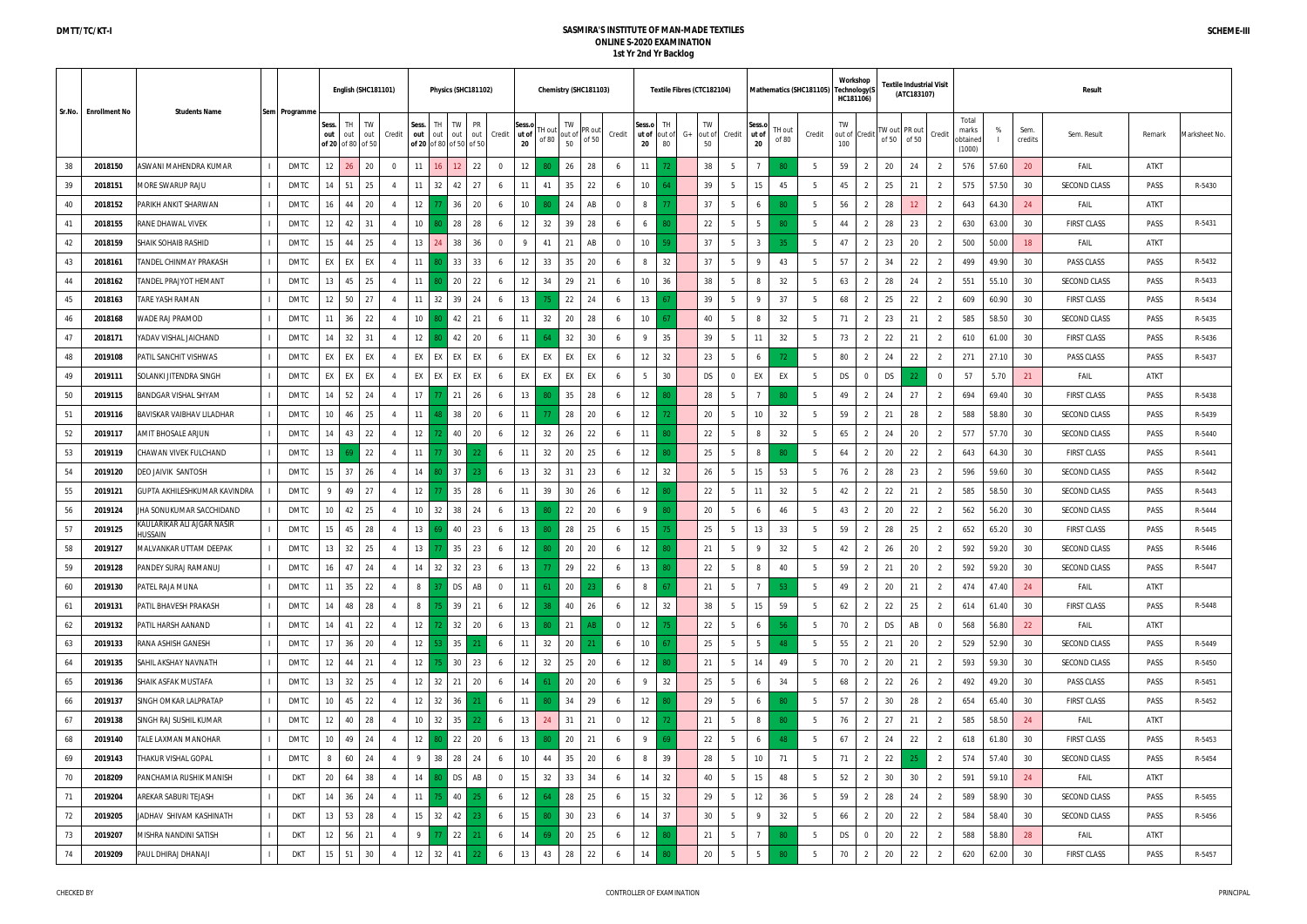| Sr.No.<br><b>Enrollment No</b> |         | <b>Students Name</b>                  |               |                 | English (SHC181101)            |           |                |                 |               | Physics (SHC181102)                               |                |                       |                  |                    | Chemistry (SHC181103) |                |                       | Textile Fibres (CTC182104) |    |                    |                 |                       |                 | Mathematics (SHC181105) | Workshop<br>Technology(S<br>HC181106) |                |    | <b>Fextile Industrial Visit</b><br>(ATC183107) |                |                                      |       |                 | <b>Result</b>       |             |               |
|--------------------------------|---------|---------------------------------------|---------------|-----------------|--------------------------------|-----------|----------------|-----------------|---------------|---------------------------------------------------|----------------|-----------------------|------------------|--------------------|-----------------------|----------------|-----------------------|----------------------------|----|--------------------|-----------------|-----------------------|-----------------|-------------------------|---------------------------------------|----------------|----|------------------------------------------------|----------------|--------------------------------------|-------|-----------------|---------------------|-------------|---------------|
|                                |         |                                       | Sem Programme | Sess.<br>out    | TH<br>out<br>of 20 of 80 of 50 | TW<br>out | Credit         | Sess.<br>out    | TH<br>out     | TW<br>PR<br>out<br>out<br>of 20 of 80 of 50 of 50 | Credit         | Sess.o<br>ut of<br>20 | I H out<br>of 80 | TW<br>out of<br>50 | PR out<br>of 50       | Credit         | Sess.o<br>ut of<br>20 | TH<br>out of<br>80         | G+ | TW<br>out of<br>50 | Credit          | Sess.o<br>ut of<br>20 | TH out<br>of 80 | Credit                  | TW<br>out of Credi<br>100             |                |    | W out PR out<br>of 50 of 50                    | Credit         | Total<br>marks<br>obtained<br>(1000) | %     | Sem.<br>credits | Sem. Result         | Remark      | Marksheet No. |
| 38                             | 2018150 | ASWANI MAHENDRA KUMAR                 | DMTC          | 12              | 26                             | 20        | $\Omega$       | 11              | 16.           | 12<br>22                                          | $\overline{0}$ | 12                    |                  | 26                 | 28                    |                | 11                    |                            |    | 38                 | -5              |                       | 80              | 5                       | 59                                    | 2              | 20 | 24                                             | -2             | 576                                  | 57.60 | 20              | FAIL                | ATKT        |               |
| 39                             | 2018151 | MORE SWARUP RAJU                      | DMTC          | 14              | 51                             | 25        |                | 11              | 32            | 42<br>27                                          | 6              | 11                    | 41               | 35                 | 22                    |                | 10 <sup>°</sup>       | AA                         |    | 39                 | -5              | 15                    | 45              | 5                       | 45                                    | 2              | 25 | 21                                             | $\overline{2}$ | 575                                  | 57.50 | 30              | SECOND CLASS        | PASS        | R-5430        |
| 40                             | 2018152 | PARIKH ANKIT SHARWAN                  | <b>DMTC</b>   | 16              | 44                             | $20\,$    |                | 12              |               | 36<br>20                                          | 6              | 10 <sup>1</sup>       |                  | -24                | AB                    | $\Omega$       | 8                     |                            |    | 37                 |                 | 6                     | -80             | 5                       | 56                                    | $\overline{2}$ | 28 | 12                                             | $\overline{2}$ | 643                                  | 64.30 | 24              | FAIL                | <b>ATKT</b> |               |
| 41                             | 2018155 | RANE DHAWAL VIVEK                     | DMTC          | 12              | 42                             | 31        |                | 10              |               | 28<br>28                                          | 6              | 12                    | 32               | 39                 | 28                    |                | 6                     |                            |    | 22                 | 5               | 5                     | -80             | 5                       | 44                                    | 2              | 28 | 23                                             | $\overline{2}$ | 630                                  | 63.00 | 30              | <b>FIRST CLASS</b>  | PASS        | R-5431        |
| 42                             | 2018159 | SHAIK SOHAIB RASHID                   | DMTC          | 15              | 44                             | 25        |                | 13              | 24            | 38<br>36                                          | $\Omega$       | 9                     | 41               | 21                 | AB                    | $\Omega$       | 10 <sup>°</sup>       |                            |    | 37                 | 5               | $\overline{3}$        | 35              | 5                       | 47                                    | 2              | 23 | 20                                             | $\overline{2}$ | 500                                  | 50.00 | 18              | FAIL                | ATKT        |               |
| 43                             | 2018161 | ANDEL CHINMAY PRAKASH                 | DMTC          | EX              | EX                             | EX        | $\overline{4}$ | 11              |               | 33<br>33                                          | 6              | 12                    | 33               | 35                 | 20                    |                | 8                     | 32                         |    | 37                 | -5              | 9                     | 43              | 5                       | 57                                    | $\overline{2}$ | 34 | 22                                             | 2              | 499                                  | 49.90 | 30              | PASS CLASS          | PASS        | R-5432        |
| 44                             | 2018162 | <b>FANDEL PRAJYOT HEMANT</b>          | DMTC          | 13              | 45                             | 25        |                | 11              |               | 20<br>22                                          | 6              | 12                    | 34               | 29                 | 21                    |                | 10 <sup>°</sup>       | 36                         |    | 38                 | -5              | 8                     | 32              | $5\overline{)}$         | 63                                    | $\overline{2}$ | 28 | 24                                             | $\overline{2}$ | 551                                  | 55.10 | 30              | SECOND CLASS        | PASS        | R-5433        |
| 45                             | 2018163 | TARE YASH RAMAN                       | DMTC          | 12              | 50                             | 27        |                | 11              | 32            | 39<br>24                                          | 6              | 13                    |                  | 22                 | 24                    |                | 13                    |                            |    | 39                 | -5              | 9                     | 37              | $5\overline{)}$         | 68                                    | 2              | 25 | 22                                             | $\overline{2}$ | 609                                  | 60.90 | 30              | <b>FIRST CLASS</b>  | PASS        | R-5434        |
| 46                             | 2018168 | <b><i>NADE RAJ PRAMOD</i></b>         | DMTC          | 11              | 36                             | 22        |                | 10              |               | 42<br>21                                          | 6              | 11                    | 32               | 20                 | 28                    |                | 10 <sup>°</sup>       |                            |    | 40                 | -5              | 8                     | 32              | 5                       | 71                                    | $\overline{2}$ | 23 | 21                                             | 2              | 585                                  | 58.50 | 30              | <b>SECOND CLASS</b> | PASS        | R-5435        |
| 47                             | 2018171 | YADAV VISHAL JAICHAND                 | DMTC          | 14              | 32                             | 31        |                | 12              |               | 42<br>20                                          | 6              | 11                    |                  | 32                 | 30                    |                | 9                     | 35                         |    | 39                 | 5               | 11                    | 32              | 5                       | 73                                    | 2              | 22 | 21                                             | 2              | 610                                  | 61.00 | 30              | <b>FIRST CLASS</b>  | PASS        | R-5436        |
| 48                             | 2019108 | PATIL SANCHIT VISHWAS                 | DMTC          | EX              | EX                             | EX        |                | EX              | EX            | EX<br>EX                                          | 6              | EX                    | EX               | EX                 | EX                    |                | 12                    | 32<br>23                   |    |                    | $5\overline{)}$ | 6                     | -72             | 5                       | 80                                    | $\overline{2}$ | 24 | 22                                             | $\overline{2}$ | 271                                  | 27.10 | 30              | PASS CLASS          | PASS        | R-5437        |
| 49                             | 2019111 | SOLANKI JITENDRA SINGH                | DMTC          | EX              | EX                             | EX        |                | EX              | EX            | EX<br>EX                                          | -6             | EX                    | EX               | EX                 | EX                    |                | 5                     | 30                         |    | DS                 | $\mathbf 0$     | EX                    | EX              | 5                       | DS                                    | $\overline{0}$ | DS |                                                | $\overline{0}$ | 57                                   | 5.70  | 21              | FAIL                | ATKT        |               |
| 50                             | 2019115 | BANDGAR VISHAL SHYAM                  | DMTC          | 14              | 52                             | 24        |                | 17              |               | 21<br>26                                          | 6              | 13                    |                  | 35                 | 28                    |                | 12                    |                            |    | 28                 | -5              |                       | 80              | 5                       | 49                                    | 2              | 24 | 27                                             | $\overline{2}$ | 694                                  | 69.40 | 30              | <b>FIRST CLASS</b>  | PASS        | R-5438        |
| 51                             | 2019116 | BAVISKAR VAIBHAV LILADHAR             | DMTC          | 10              | 46                             | 25        |                | 11              |               | 38<br>20                                          | 6              | 11                    |                  | 28                 | 20                    |                | 12                    |                            |    | 20                 | 5               | 10                    | 32              | 5                       | 59                                    | $\overline{2}$ | 21 | 28                                             | $\overline{2}$ | 588                                  | 58.80 | 30              | <b>SECOND CLASS</b> | PASS        | R-5439        |
| 52                             | 2019117 | AMIT BHOSALE ARJUN                    | DMTC          | 14              | 43                             | 22        |                | 12              |               | 40<br>20                                          | 6              | 12                    | 32               | 26                 | 22                    |                | 11                    |                            |    | 22                 | -5              | 8                     | 32              | -5                      | 65                                    | 2              | 24 | 20                                             | $\overline{2}$ | 577                                  | 57.70 | 30              | SECOND CLASS        | PASS        | R-5440        |
| 53                             | 2019119 | CHAWAN VIVEK FULCHAND                 | DMTC          | 13              |                                | 22        |                | 11              |               | 30 <sup>1</sup>                                   | 6              | 11                    | 32               | 20                 | 25                    |                | 12                    |                            |    | 25                 | 5               | 8                     | -80             | 5                       | 64                                    | 2              | 20 | 22                                             | 2              | 643                                  | 64.30 | 30              | <b>FIRST CLASS</b>  | PASS        | R-5441        |
| 54                             | 2019120 | DEO JAIVIK SANTOSH                    | <b>DMTC</b>   | 15              | 37                             | 26        |                | 14              |               | 37                                                | 6              | 13                    | 32               | 31                 | 23                    |                | 12                    | 32                         |    | 26                 | -5              | 15                    | 53              | 5                       | 76                                    | 2              | 28 | 23                                             | 2              | 596                                  | 59.60 | 30              | SECOND CLASS        | PASS        | R-5442        |
| 55                             | 2019121 | GUPTA AKHILESHKUMAR KAVINDRA          | DMTC          | 9               | 49                             | 27        |                | 12              |               | 35<br>28                                          | 6              | 11                    | 39               | 30                 | 26                    |                | 12                    |                            |    | 22                 | -5              | 11                    | 32              | 5                       | 42                                    | 2              | 22 | 21                                             | $\overline{2}$ | 585                                  | 58.50 | 30              | SECOND CLASS        | PASS        | R-5443        |
| 56                             | 2019124 | JHA SONUKUMAR SACCHIDAND              | DMTC          | 10              | 42                             | 25        |                | 10 <sup>1</sup> | 32            | 38<br>24                                          | 6              | 13                    |                  | 22                 | 20                    | -6             | 9                     |                            |    | 20                 | -5              | 6                     | 46              | $5\overline{)}$         | 43                                    | 2              | 20 | 22                                             | $\overline{2}$ | 562                                  | 56.20 | 30              | SECOND CLASS        | PASS        | R-5444        |
| 57                             | 2019125 | KAULARIKAR ALI AJGAR NASIR<br>HUSSAIN | DMTC          | 15              | 45                             | 28        |                | 13              |               | 40<br>23                                          | 6              | 13                    |                  | 28                 | 25                    |                | 15                    |                            |    | 25                 | 5               | 13                    | 33              | -5                      | 59                                    | 2              | 28 | 25                                             | $\overline{2}$ | 652                                  | 65.20 | 30              | <b>FIRST CLASS</b>  | PASS        | R-5445        |
| 58                             | 2019127 | MALVANKAR UTTAM DEEPAK                | <b>DMTC</b>   | 13              | 32                             | 25        |                | 13              |               | 35<br>23                                          | 6              | 12                    |                  | 20                 | 20                    |                | 12                    |                            |    | 21                 | -5              | 9                     | 32              | 5                       | 42                                    | 2              | 26 | 20                                             | -2             | 592                                  | 59.20 | 30              | SECOND CLASS        | PASS        | R-5446        |
| 59                             | 2019128 | PANDEY SURAJ RAMANUJ                  | DMTC          | 16              | 47                             | 24        |                | 14              | 32            | 32<br>23                                          | 6              | 13                    |                  | 29                 | 22                    | -6             | 13                    | 80                         |    | 22                 | -5              | 8                     | 40              | -5                      | 59                                    | $\overline{2}$ | 21 | 20                                             | $\overline{2}$ | 592                                  | 59.20 | 30              | <b>SECOND CLASS</b> | PASS        | R-5447        |
| 60                             | 2019130 | PATEL RAJA MUNA                       | DMTC          | 11              | 35                             | 22        | $\overline{4}$ | 8 <sup>1</sup>  |               | <b>DS</b><br>AB                                   | $\overline{0}$ | 11                    |                  | 20                 | -23                   |                | 8                     |                            |    | 21                 | -5              |                       | -53             | 5                       | 49                                    | 2              | 20 | 21                                             | $\overline{2}$ | 474                                  | 47.40 | 24              | FAIL                | atkt        |               |
| 61                             | 2019131 | PATIL BHAVESH PRAKASH                 | DMTC          | 14              | 48                             | 28        |                | 8 <sup>1</sup>  |               | 39<br>21                                          | 6              | 12                    |                  | 40                 | 26                    |                | 12                    | 32                         |    | 38                 | $5\overline{)}$ | 15                    | 59              | $5\overline{)}$         | 62                                    | 2              | 22 | 25                                             | $\overline{2}$ | 614                                  | 61.40 | 30              | <b>FIRST CLASS</b>  | PASS        | R-5448        |
| 62                             | 2019132 | PATIL HARSH AANAND                    | DMTC          | 14              | 41                             | 22        |                | 12 <sub>1</sub> |               | 32<br>20                                          | 6              | 13                    |                  | 21                 | AB                    | $\overline{0}$ | 12                    |                            |    | 22                 | 5               | 6                     | 56              | 5                       | 70                                    | 2              | DS | AB                                             | $\overline{0}$ | 568                                  | 56.80 | 22              | FAIL                | atkt        |               |
| 63                             | 2019133 | RANA ASHISH GANESH                    | DMTC          | 17              | 36                             | 20        |                | 12 <sub>1</sub> |               | 35                                                | 6              | 11                    | 32               | 20                 | 21                    |                | 10 <sup>°</sup>       | 67                         |    | 25                 | 5               | 5                     | 48              | 5                       | 55                                    | 2              | 21 | 20                                             | 2              | 529                                  | 52.90 | 30              | SECOND CLASS        | PASS        | R-5449        |
| 64                             | 2019135 | SAHIL AKSHAY NAVNATH                  | DMTC          | 12              | 44                             | 21        | $\overline{4}$ | 12              |               | 30 23                                             | 6              | 12                    | 32               | 25                 | 20                    | -6             | 12                    | 80                         |    | 21                 | $5\overline{)}$ | 14                    | 49              | 5                       | 70                                    | $\overline{2}$ | 20 | 21                                             | 2              | 593                                  | 59.30 | 30              | <b>SECOND CLASS</b> | PASS        | R-5450        |
| 65                             | 2019136 | SHAIK ASFAK MUSTAFA                   | DMTC          | 13              | 32                             | 25        | $\overline{4}$ | 12 <sup>1</sup> | 32            | 20<br>21                                          | 6              | 14                    |                  | 20                 | 20                    | 6              | 9                     | 32                         |    | 25                 | $5\overline{)}$ | 6                     | 34              | 5 <sup>5</sup>          | 68                                    | $\overline{2}$ | 22 | 26                                             | $\overline{2}$ | 492                                  | 49.20 | 30              | PASS CLASS          | PASS        | R-5451        |
| 66                             | 2019137 | SINGH OMKAR LALPRATAP                 | DMTC          | 10 <sup>°</sup> | 45                             | 22        |                | 12              | 32            | 36                                                | 6              | 11                    |                  | 34                 | 29                    | -6             | 12                    |                            |    | 29                 | 5               | 6                     | -80             | 5                       | 57                                    | $\overline{2}$ | 30 | 28                                             | $\overline{2}$ | 654                                  | 65.40 | 30              | FIRST CLASS         | PASS        | R-5452        |
| 67                             | 2019138 | SINGH RAJ SUSHIL KUMAR                | DMTC          | 12              | 40 l                           | 28        |                |                 | $10 \quad 32$ | 35<br>22                                          | 6              | 13                    | 24               | 31                 | 21                    | $\overline{0}$ | 12                    |                            |    | 21                 | 5               | 8                     | 80              | $5\overline{)}$         | 76                                    | $\overline{2}$ | 27 | 21                                             | $\overline{2}$ | 585                                  | 58.50 | 24              | FAIL                | atkt        |               |
| 68                             | 2019140 | TALE LAXMAN MANOHAR                   | DMTC          | 10 <sup>°</sup> | 49                             | 24        |                | 12 <sub>1</sub> |               | 22<br>20                                          | 6              | 13                    |                  | 20                 | 21                    |                | 9                     |                            | 22 |                    | 5               | 6                     | 48              | 5                       | 67                                    | 2              | 24 | 22                                             | 2              | 618                                  | 61.80 | 30              | <b>FIRST CLASS</b>  | PASS        | R-5453        |
| 69                             | 2019143 | THAKUR VISHAL GOPAL                   | <b>DMTC</b>   | 8               | 60                             | 24        | $\overline{4}$ | 9               | 38            | 28<br>24                                          | 6              | 10 <sup>1</sup>       | 44               | 35                 | 20                    |                | 8                     | 39                         |    | 28                 | $5\overline{)}$ | 10                    | 71              | 5                       | 71                                    | 2              | 22 | 25                                             | $\overline{2}$ | 574                                  | 57.40 | 30              | SECOND CLASS        | PASS        | R-5454        |
| 70                             | 2018209 | PANCHAMIA RUSHIK MANISH               | <b>DKT</b>    | 20              | 64                             | 38        |                | 14              |               | <b>DS</b><br>AB                                   | $\overline{0}$ | 15                    | 32               | 33                 | 34                    |                | 14                    | 32                         |    | 40                 | -5              | 15                    | 48              | 5                       | 52                                    | 2              | 30 | 30                                             | 2              | 591                                  | 59.10 | 24              | FAIL                | atkt        |               |
| 71                             | 2019204 | AREKAR SABURI TEJASH                  | <b>DKT</b>    | 14              | 36                             | 24        | $\overline{4}$ | 11              |               | 40                                                | 6              | 12                    |                  | 28                 | 25                    |                | 15                    | 32                         |    | 29                 | -5              | 12                    | 36              | 5                       | 59                                    | 2              | 28 | 24                                             | $\overline{2}$ | 589                                  | 58.90 | 30              | SECOND CLASS        | PASS        | R-5455        |
| 72                             | 2019205 | JADHAV SHIVAM KASHINATH               | DKT           | 13              | 53                             | 28        |                |                 | $15 \mid 32$  | 42                                                | 6              | 15                    |                  | 30                 | 23                    | -6             | 14                    | 37<br>30                   |    |                    | 5               | 9                     | 32              | $5\overline{)}$         | 66                                    | 2              | 20 | 22                                             | $\overline{2}$ | 584                                  | 58.40 | 30              | SECOND CLASS        | PASS        | R-5456        |
| 73                             | 2019207 | MISHRA NANDINI SATISH                 | <b>DKT</b>    | 12              | 56                             | 21        |                | 9               |               | 22                                                | 6              | 14                    |                  | 20                 | 25                    |                | $12 \overline{ }$     | 80.                        |    | 21                 | 5               | $\overline{7}$        | 80              | 5                       | DS                                    | $\overline{0}$ | 20 | 22                                             | 2              | 588                                  | 58.80 | 28              | FAIL                | ATKT        |               |
| 74                             | 2019209 | PAUL DHIRAJ DHANAJI                   | <b>DKT</b>    | 15              | 51                             | 30        | $\overline{4}$ | 12              | 32            | 41<br>22                                          | 6              | 13                    | 43               | 28                 | 22                    | 6              | 14                    | 80                         |    | 20                 | $5\overline{)}$ | 5                     | 80              | 5                       | 70                                    | $\overline{2}$ | 20 | 22                                             | $\overline{2}$ | 620                                  | 62.00 | 30              | FIRST CLASS         | PASS        | R-5457        |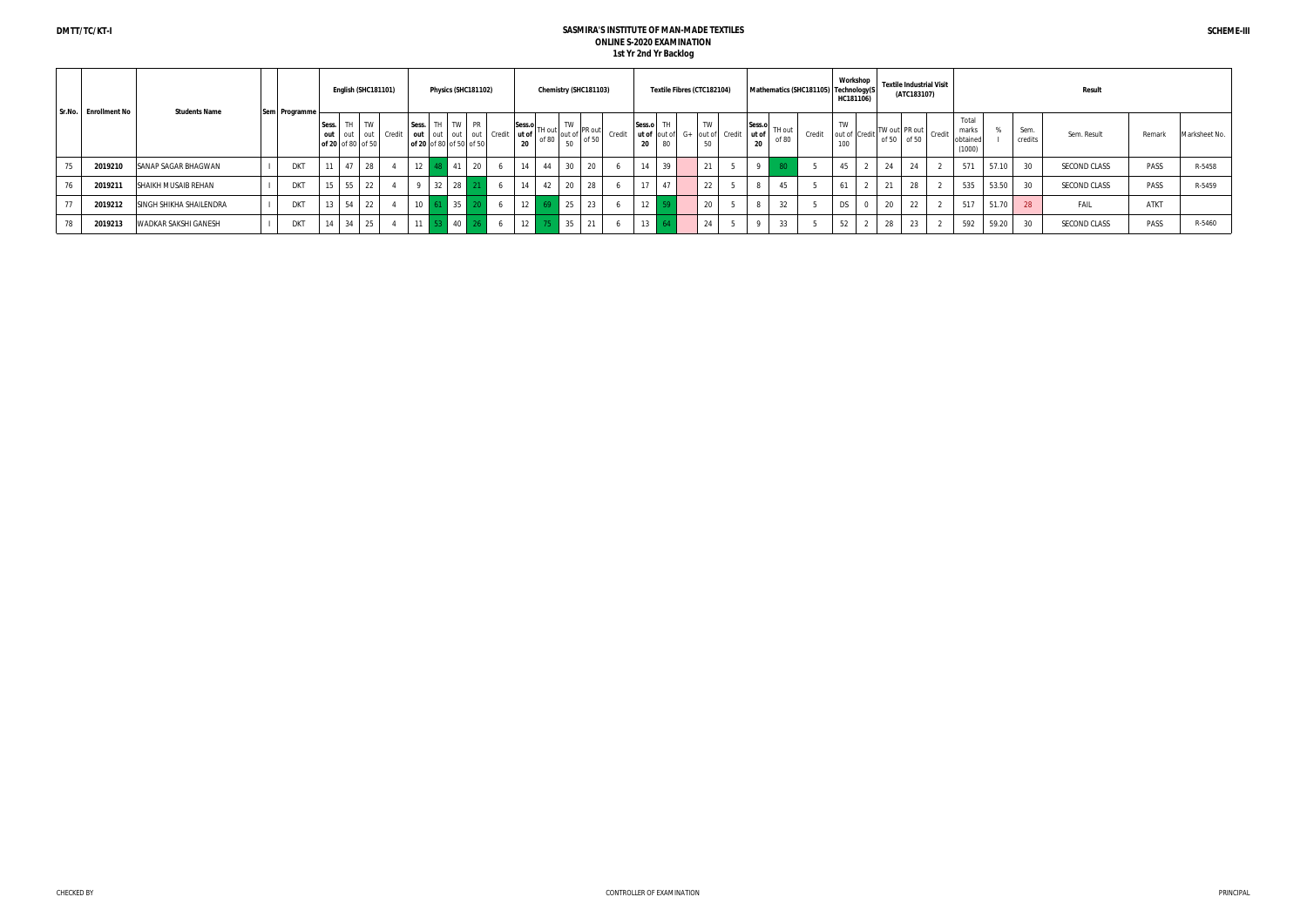| Sr.No. Enrollment No | <b>Students Name</b>           |               |       | English (SHC181101)              |                |        |    | Physics (SHC181102)                       |    |                              |    |    |       | Chemistry (SHC181103)                              |        |                                 |    | Textile Fibres (CTC182104)           |  |    | Mathematics (SHC181105) Technology(S |        | Workshop<br>HC181106)      | <b>Textile Industrial Visit</b>                                       | (ATC183107) |                                     |       |                 | Result       |             |               |
|----------------------|--------------------------------|---------------|-------|----------------------------------|----------------|--------|----|-------------------------------------------|----|------------------------------|----|----|-------|----------------------------------------------------|--------|---------------------------------|----|--------------------------------------|--|----|--------------------------------------|--------|----------------------------|-----------------------------------------------------------------------|-------------|-------------------------------------|-------|-----------------|--------------|-------------|---------------|
|                      |                                | Sem Programme | Sess. | out out out<br>of 20 of 80 of 50 | TH TW          | Credit |    | Sess. TH TW PR<br>of 20 of 80 of 50 of 50 |    | out out out out Credit ut of | 20 |    |       | Sess.o<br>ut of TH out<br>of 80 out of 50<br>of 50 | Credit | Sess.o TH<br>ut of out of<br>20 | 80 | TW<br>$G+$ out of Credit ut of<br>50 |  | 20 | $ Sess.o $ TH out $ $<br>of 80       | Credit | TW<br>out of Credit<br>100 | $\frac{1}{2}$ TW out PR out credit $\frac{1}{2}$ Times<br>of 50 of 50 |             | Total<br>marks<br>obtaine<br>(1000) |       | Sem.<br>credits | Sem. Result  | Remark      | Marksheet No. |
| 2019210              | SANAP SAGAR BHAGWAN            | <b>DKT</b>    | 11    | 47                               | 28             |        | 10 | 41                                        | 20 |                              | 14 | 44 | 30    | 20                                                 |        | 14                              | 39 | 21                                   |  |    |                                      |        | 45                         | 24                                                                    | 24          | 571                                 | 57.10 | 30              | SECOND CLASS | PASS        | R-5458        |
| 2019211              | <b>SHAIKH MUSAIB REHAN</b>     | <b>DKT</b>    | 15    | 55                               | 22             |        |    | 32<br>28                                  |    |                              | 14 | 42 | 20    | 28                                                 |        | 17                              | 47 | 22                                   |  |    | 45                                   |        | 61                         | 21                                                                    | 28          | 535                                 | 53.50 | 30              | SECOND CLASS | PASS        | R-5459        |
| 2019212              | <b>SINGH SHIKHA SHAILENDRA</b> | <b>DKT</b>    | 13    | 54                               | 22             |        | 10 | 35                                        |    |                              |    | 12 |       | 25<br>23                                           |        | 1.2<br>12   59                  |    | 20                                   |  |    | 32                                   |        | <b>DS</b>                  | 20                                                                    | 22          | 517                                 | 51.70 | 28              | FAIL         | <b>ATKT</b> |               |
| 2019213              | <b>WADKAR SAKSHI GANESH</b>    | <b>DKT</b>    | 14    | 34                               | $\frac{25}{2}$ |        |    | 40                                        |    |                              |    | 12 | $-35$ | 21                                                 |        | $13 \perp$                      |    | 24                                   |  |    | 33                                   |        | 52                         | 28                                                                    | 23          | 592                                 | 59.20 | 30              | SECOND CLASS | PASS        | R-5460        |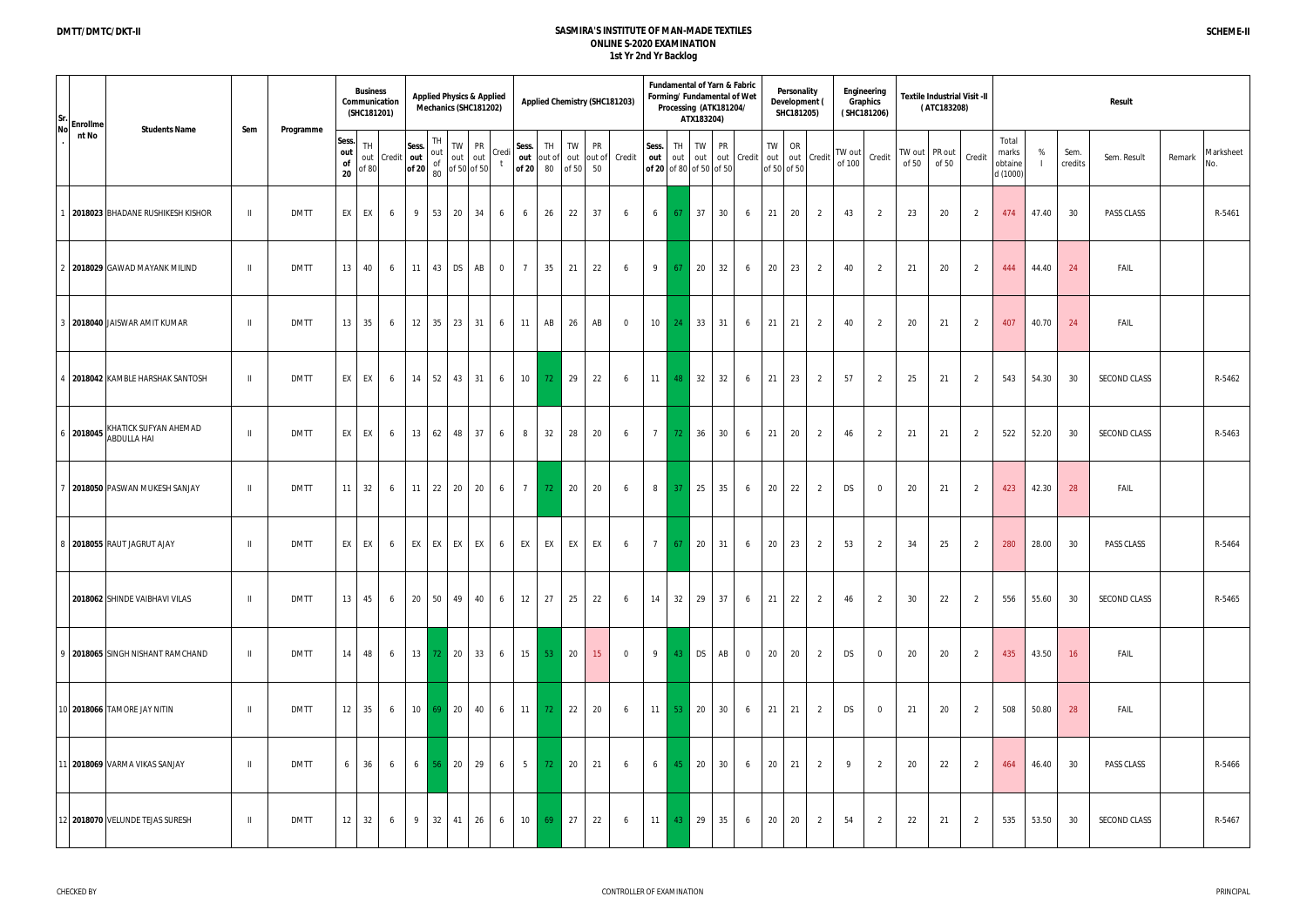| Sr.<br><b>No</b> | Enrollme<br><b>Students Name</b>                         | Sem          | Programme   |                                     | <b>Business</b><br>Communication<br>(SHC181201) |            |                |    | <b>Applied Physics &amp; Applied</b><br>Mechanics (SHC181202)                                                                                                                                                                                                                                                                                        |                |                 |                |                             |                | <b>Applied Chemistry (SHC181203)</b> |                 |                  | Processing (ATK181204/<br>ATX183204) |                  | Fundamental of Yarn & Fabric<br>Forming/ Fundamental of Wet | Personality<br>Development (<br>SHC181205) |                |                  | Engineering<br>Graphics<br>(SHC181206) |                 | <b>Textile Industrial Visit -II</b><br>(ATC183208) |                |                                       |       |                 | Result              |        |                  |
|------------------|----------------------------------------------------------|--------------|-------------|-------------------------------------|-------------------------------------------------|------------|----------------|----|------------------------------------------------------------------------------------------------------------------------------------------------------------------------------------------------------------------------------------------------------------------------------------------------------------------------------------------------------|----------------|-----------------|----------------|-----------------------------|----------------|--------------------------------------|-----------------|------------------|--------------------------------------|------------------|-------------------------------------------------------------|--------------------------------------------|----------------|------------------|----------------------------------------|-----------------|----------------------------------------------------|----------------|---------------------------------------|-------|-----------------|---------------------|--------|------------------|
|                  | nt No                                                    |              |             | Sess.<br>out<br>$\mathsf{of}$<br>20 | <b>TH</b><br>out<br>5680                        | Credit out |                | TH | TW PR<br>$\begin{bmatrix}\n\text{ess.} \\ \text{out} \\ \text{out} \\ \text{of 20} \\ \text{so.} \\ \text{so.} \\ \text{so.} \\ \text{out}\n\end{bmatrix}\n\begin{bmatrix}\n\text{iv} \\ \text{out} \\ \text{out} \\ \text{out} \\ \text{out}\n\end{bmatrix}\n\begin{bmatrix}\n\text{u.e.} \\ \text{out} \\ \text{out} \\ \text{out}\n\end{bmatrix}$ | Credi          | Sess.<br>out    | TH<br>of 20 80 | TW<br>out of out            | PR<br>of 50 50 | out of Credit                        | Sess.<br>out    | TH<br>out        | TW<br>out<br>of 20 of 80 of 50 of 50 | <b>PR</b><br>out | Credit                                                      | TW<br>OR<br>out<br>of 50 of 50             | out Credit     | TW out<br>of 100 | Credit                                 | TW out<br>of 50 | $\left  \right $ PR out<br>of 50                   | Credit         | Total<br>marks<br>obtaine<br>d (1000) | %     | Sem.<br>credits | Sem. Result         | Remark | Marksheet<br>No. |
|                  | 2018023 BHADANE RUSHIKESH KISHOR                         | $\mathbf{H}$ | <b>DMTT</b> |                                     | EX EX                                           | 6          | 9 <sup>1</sup> |    | 53 20 34                                                                                                                                                                                                                                                                                                                                             | 6              | 6               | 26             | 22                          | 37             | 6                                    |                 | $6\overline{67}$ | 37                                   | 30               | 6                                                           | 21<br>20                                   | $\overline{2}$ | 43               | $\overline{2}$                         | 23              | 20                                                 | $\overline{2}$ | 474                                   | 47.40 | 30              | PASS CLASS          |        | R-5461           |
|                  | 2 2018029 GAWAD MAYANK MILIND                            | $\mathbf{H}$ | <b>DMTT</b> | 13                                  | 40                                              | 6          |                |    | $11 \mid 43 \mid DS \mid AB$                                                                                                                                                                                                                                                                                                                         | $\overline{0}$ | $\overline{7}$  | 35             | 21                          | 22             | 6                                    | 9               | 67               | $\vert$ 20                           | 32               | 6                                                           | 20<br>23                                   | $\overline{2}$ | 40               | 2                                      | 21              | 20                                                 | 2              | 444                                   | 44.40 | 24              | <b>FAIL</b>         |        |                  |
|                  | 3 2018040 JAISWAR AMIT KUMAR                             | $\,$ H       | <b>DMTT</b> | 13                                  | 35                                              | 6          |                |    | 12 35 23 31                                                                                                                                                                                                                                                                                                                                          | 6              | 11              | AB             | 26                          | AB             | $\overline{0}$                       |                 | $10 \mid 24$     | $\vert$ 33                           | 31               | 6                                                           | 21<br>21                                   | $\overline{2}$ | 40               | 2                                      | 20              | 21                                                 | 2              | 407                                   | 40.70 | 24              | FAIL                |        |                  |
|                  | 4   2018042 KAMBLE HARSHAK SANTOSH                       | $\mathbf{H}$ | <b>DMTT</b> |                                     | EX EX                                           | 6          | 14             | 52 | 43 31                                                                                                                                                                                                                                                                                                                                                | 6              | 10              | 72             | 29                          | 22             | 6                                    |                 | $11$ 48          | 32                                   | 32               | 6                                                           | 21<br>23                                   | 2              | 57               | 2                                      | 25              | 21                                                 | $\overline{2}$ | 543                                   | 54.30 | 30              | SECOND CLASS        |        | R-5462           |
|                  | KHATICK SUFYAN AHEMAD<br>6 2018045<br><b>ABDULLA HAI</b> | $\,$ II      | <b>DMTT</b> | <b>EX</b>                           | EX                                              | 6          | 13             | 62 | 37<br>48                                                                                                                                                                                                                                                                                                                                             | 6              | 8               | 32             | 28                          | 20             | 6                                    | $7^{\circ}$     | 72               | $\vert$ 36                           | 30               | 6                                                           | 21<br>20                                   | 2              | 46               | 2                                      | 21              | 21                                                 | $\overline{2}$ | 522                                   | 52.20 | 30              | SECOND CLASS        |        | R-5463           |
|                  | 2018050 PASWAN MUKESH SANJAY                             | $\mathbb{H}$ | <b>DMTT</b> |                                     | $11 \mid 32 \mid$                               |            |                |    | $6$ 11 22 20 20                                                                                                                                                                                                                                                                                                                                      | 6              | $\overline{7}$  | 72             | $\overline{\phantom{0}}$ 20 | 20             | 6                                    | 8 <sup>1</sup>  | 37               | $\vert$ 25                           | 35               | 6                                                           | 20<br>22                                   | 2              | DS               | $\overline{0}$                         | 20              | 21                                                 | 2              | 423                                   | 42.30 | 28              | <b>FAIL</b>         |        |                  |
|                  | 8 2018055 RAUT JAGRUT AJAY                               | $\,$ H       | <b>DMTT</b> | EX                                  | EX                                              | 6          | EX             |    | EX EX EX                                                                                                                                                                                                                                                                                                                                             | 6              | EX              | EX             | EX                          | EX             | 6                                    | $7\overline{ }$ | 67               | $\vert$ 20                           | 31               | 6                                                           | 20<br>23                                   | 2              | 53               | $\overline{2}$                         | 34              | 25                                                 | $\overline{2}$ | 280                                   | 28.00 | 30              | PASS CLASS          |        | R-5464           |
|                  | <b>2018062 SHINDE VAIBHAVI VILAS</b>                     | $\,$ H       | <b>DMTT</b> |                                     | $13 \mid 45 \mid$                               | 6          |                |    | 20 50 49 40                                                                                                                                                                                                                                                                                                                                          | 6              | 12              | 27             | 25                          | 22             | 6                                    | 14              | 32               | $\frac{29}{2}$                       | 37               | 6                                                           | 21<br>22                                   | $\overline{2}$ | 46               | $\overline{2}$                         | 30              | 22                                                 | $\overline{2}$ | 556                                   | 55.60 | 30              | <b>SECOND CLASS</b> |        | R-5465           |
|                  | 9   2018065 SINGH NISHANT RAMCHAND                       | $\parallel$  | <b>DMTT</b> |                                     | $14$ 48                                         |            |                |    | $6$   13   72   20   33   6                                                                                                                                                                                                                                                                                                                          |                |                 | 15 53 20       |                             | 15             | $\overline{0}$                       |                 |                  | 9 43 DS                              | AB               | $\overline{0}$                                              | 20<br>20                                   | 2              | DS               | $\overline{0}$                         | 20              | 20                                                 | 2              | 435                                   | 43.50 | 16              | FAIL                |        |                  |
|                  | 10 2018066 TAMORE JAY NITIN                              | $\mathbb{H}$ | <b>DMTT</b> |                                     | $12 \mid 35 \mid$                               | 6          |                |    | 10 69 20 40                                                                                                                                                                                                                                                                                                                                          | 6              | 11              | 72             | 22                          | 20             | 6                                    |                 |                  | 11 53 20                             | 30               | 6                                                           | 21<br>21                                   | 2              | DS               | $\overline{0}$                         | 21              | 20                                                 | 2              | 508                                   | 50.80 | 28              | FAIL                |        |                  |
|                  | 11 2018069 VARMA VIKAS SANJAY                            | $\,$ H       | <b>DMTT</b> | 6                                   | 36                                              | 6          |                |    | $6 \mid 56 \mid 20 \mid 29 \mid$                                                                                                                                                                                                                                                                                                                     | 6              | $5\overline{)}$ | 72             | $\overline{\phantom{0}}$ 20 | 21             | 6                                    | $6-1$           |                  | 45 20                                | 30               | 6                                                           | 20<br>21                                   | 2              | - 9              | 2                                      | 20              | 22                                                 | 2              | 464                                   | 46.40 | 30              | PASS CLASS          |        | R-5466           |
|                  | 12 2018070 VELUNDE TEJAS SURESH                          | $\,$ H       | <b>DMTT</b> | 12                                  | 32                                              | 6          | 9 <sup>1</sup> | 32 | $41 \mid 26 \mid$                                                                                                                                                                                                                                                                                                                                    | 6              | 10              | 69             | $\overline{27}$             | 22             | 6                                    |                 |                  | $11 \t 43 \t 29$                     | 35               | 6                                                           | 20<br>20                                   | 2              | 54               | $\overline{2}$                         | 22              | 21                                                 | $\overline{2}$ | 535                                   | 53.50 | 30              | SECOND CLASS        |        | R-5467           |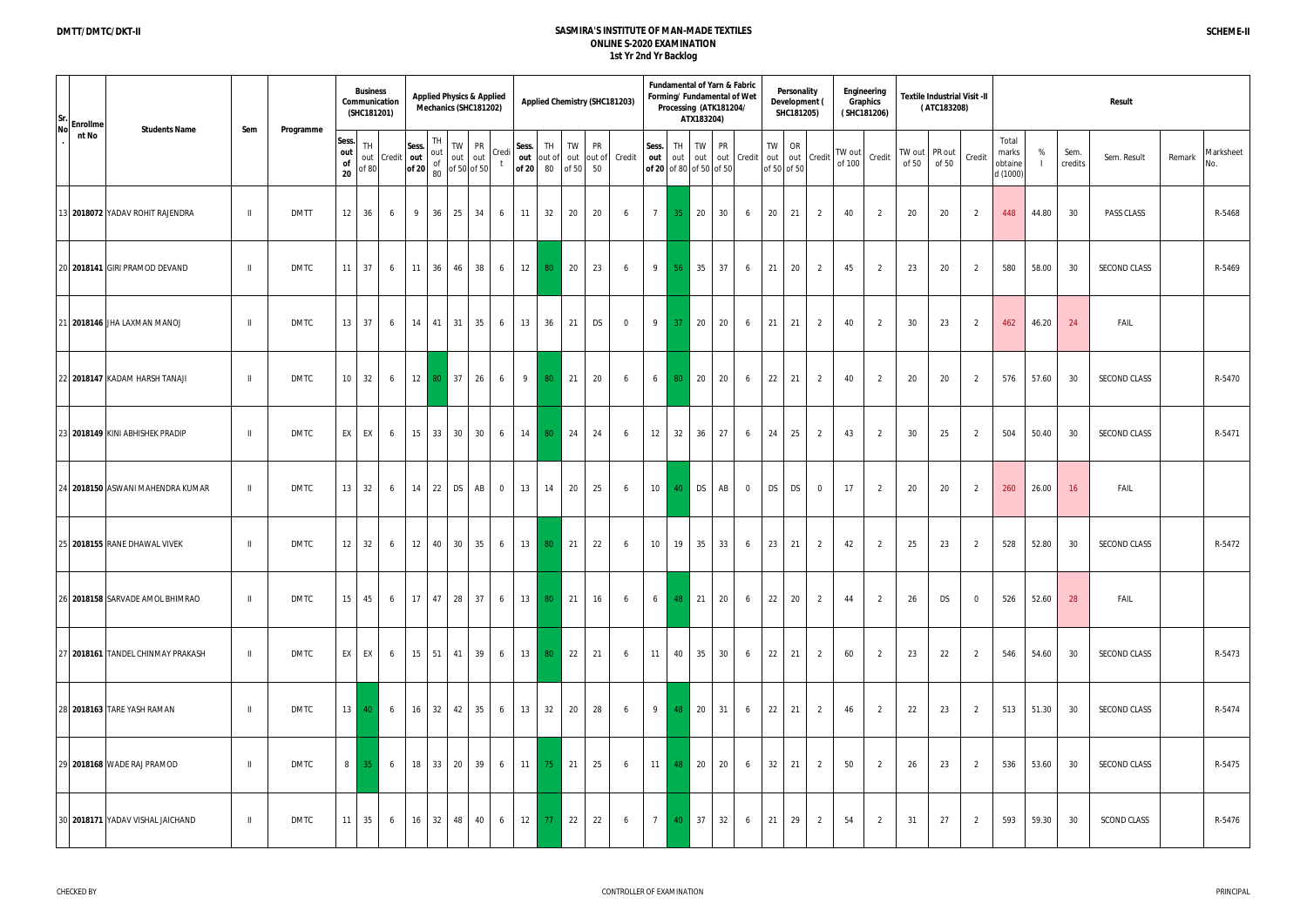| Sr.<br>Enrollme                            |              |             |                          | <b>Business</b><br>(SHC181201) | Communication |                                                                                                                                                                                                                  | <b>Applied Physics &amp; Applied</b><br>Mechanics (SHC181202) |              |                |              |                |                              |           | <b>Applied Chemistry (SHC181203)</b> |       |                 |         | Processing (ATK181204/<br>ATX183204)    |           | Fundamental of Yarn & Fabric<br>Forming/ Fundamental of Wet |                  | Personality<br>Development (<br>SHC181205) |                |                  | Engineering<br>Graphics<br>(SHC181206) |                        | (ATC183208) | <b>Textile Industrial Visit -II</b> |                                       |       |                 | Result              |        |                  |
|--------------------------------------------|--------------|-------------|--------------------------|--------------------------------|---------------|------------------------------------------------------------------------------------------------------------------------------------------------------------------------------------------------------------------|---------------------------------------------------------------|--------------|----------------|--------------|----------------|------------------------------|-----------|--------------------------------------|-------|-----------------|---------|-----------------------------------------|-----------|-------------------------------------------------------------|------------------|--------------------------------------------|----------------|------------------|----------------------------------------|------------------------|-------------|-------------------------------------|---------------------------------------|-------|-----------------|---------------------|--------|------------------|
| <b>No</b><br><b>Students Name</b><br>nt No | Sem          | Programme   | Sess.<br>out<br>of<br>20 | <b>TH</b><br>out<br>5680       |               | Sess.<br>$ $ Credit $ $ out $ $ out $ $<br>and $\begin{vmatrix} \textbf{out} \\ \textbf{off} & 20 \\ 80 \end{vmatrix}$ of $\begin{vmatrix} \textbf{out} \\ \textbf{off} & 50 \\ 0 \textbf{f} & 50 \end{vmatrix}$ | TH.                                                           | TW PR        | Credi          | Sess.<br>out | TH<br>of 20 80 | TW<br>out of out<br>of 50 50 | <b>PR</b> | out of Credit                        | Sess. | out             | out     | TH TW<br>out<br>of 20 of 80 of 50 of 50 | <b>PR</b> | out Credit                                                  | <b>TW</b><br>out | OR<br>of 50 of 50                          | out Credit     | TW out<br>of 100 | Credit                                 | TW out PR out<br>of 50 | of 50       | Credit                              | Total<br>marks<br>obtaine<br>d (1000) | %     | Sem.<br>credits | Sem. Result         | Remark | Marksheet<br>No. |
| 13 2018072 YADAV ROHIT RAJENDRA            | $\parallel$  | <b>DMTT</b> |                          | $12 \mid 36 \mid$              | 6             | 9 <sup>1</sup>                                                                                                                                                                                                   | 36                                                            | 25 34        | 6              | 11           | 32             | 20                           | 20        | 6                                    |       | $7\overline{ }$ | $35$ 20 |                                         | 30        | 6                                                           | 20               | 21                                         | $\overline{2}$ | 40               | -2                                     | 20                     | 20          | 2                                   | 448                                   | 44.80 | 30              | <b>PASS CLASS</b>   |        | R-5468           |
| 20 2018141 GIRI PRAMOD DEVAND              | $\mathbb{I}$ | <b>DMTC</b> | 11 <sup>1</sup>          | 37                             | 6             | $11 \quad 36$                                                                                                                                                                                                    |                                                               | 46 38        | 6              | 12           | 80             | $\overline{\phantom{0}}$ 20  | 23        | 6                                    |       | 9               | 56      | $\vert$ 35                              | 37        | 6                                                           | 21               | 20                                         | $\overline{2}$ | 45               | 2                                      | 23                     | 20          | 2                                   | 580                                   | 58.00 | 30              | SECOND CLASS        |        | R-5469           |
| 21 2018146 JHA LAXMAN MANOJ                | $\parallel$  | <b>DMTC</b> |                          | $13 \mid 37 \mid$              | 6             | $14$ 41                                                                                                                                                                                                          |                                                               | $31 \mid 35$ | 6              | 13           | 36             | 21                           | DS        | $\overline{0}$                       |       | 9               | 37      | 20                                      | 20        | 6                                                           | 21               | 21                                         | $\overline{2}$ | 40               | 2                                      | 30                     | 23          | 2                                   | 462                                   | 46.20 | 24              | <b>FAIL</b>         |        |                  |
| 22 2018147 KADAM HARSH TANAJI              | $\mathbf{H}$ | DMTC        | 10                       | 32                             | 6             | 12 80                                                                                                                                                                                                            |                                                               | 37 26        | 6              | 9            | 80             | 21                           | 20        | 6                                    |       | $6-1$           | 80      | 20                                      | 20        | 6                                                           | 22               | 21                                         | 2              | 40               | 2                                      | 20                     | 20          | 2                                   | 576                                   | 57.60 | 30              | <b>SECOND CLASS</b> |        | R-5470           |
| 23 2018149 KINI ABHISHEK PRADIP            | $\mathbf{H}$ | <b>DMTC</b> | <b>EX</b>                | EX                             | 6             | $15 \mid 33 \mid$                                                                                                                                                                                                |                                                               | 30 30        | 6              | 14           | 80             | 24                           | 24        | 6                                    |       | 12              | 32      | 36                                      | 27        | 6                                                           | 24               | 25                                         | $\overline{2}$ | 43               | 2                                      | 30                     | 25          | 2                                   | 504                                   | 50.40 | 30              | <b>SECOND CLASS</b> |        | R-5471           |
| 24 2018150 ASWANI MAHENDRA KUMAR           | $\mathbf{H}$ | DMTC        |                          | $13 \mid 32 \mid$              | 6             | 14 22 DS AB                                                                                                                                                                                                      |                                                               |              | $\overline{0}$ | 13           | 14             | 20                           | 25        | 6                                    |       | 10 40 DS        |         |                                         | AB        | $\overline{0}$                                              | DS               | <b>DS</b>                                  | $\overline{0}$ | 17               | 2                                      | 20                     | 20          | 2                                   | 260                                   | 26.00 | 16              | FAIL                |        |                  |
| 25 2018155 RANE DHAWAL VIVEK               | $\parallel$  | DMTC        | 12                       | 32                             | 6             | $12 \mid 40 \mid$                                                                                                                                                                                                |                                                               | 30 35        | 6              | 13           | 80             | 21                           | 22        | 6                                    |       | 10 <sup>1</sup> | 19      | 35                                      | 33        | 6                                                           | 23               | 21                                         | $\overline{2}$ | 42               | 2                                      | 25                     | 23          | 2                                   | 528                                   | 52.80 | 30              | SECOND CLASS        |        | R-5472           |
| 26 2018158 SARVADE AMOL BHIMRAO            | $\,$ H $\,$  | DMTC        | 15                       | 45                             | 6             | 17 47 28 37                                                                                                                                                                                                      |                                                               |              | 6              | 13           | 80             | $\vert$ 21                   | 16        | 6                                    |       | $6 \t 48 \t 21$ |         |                                         | 20        | 6                                                           | 22               | 20                                         | 2              | 44               | 2                                      | 26                     | DS          | $\overline{0}$                      | 526                                   | 52.60 | 28              | FAIL                |        |                  |
| 27 2018161 TANDEL CHINMAY PRAKASH          | $\parallel$  | <b>DMTC</b> |                          | EX EX                          | 6             | 15   51   41   39                                                                                                                                                                                                |                                                               |              | 6 <sup>1</sup> | 13           | 80             | $\vert$ 22                   | 21        | 6                                    |       | 11 40 35        |         |                                         | 30        | 6                                                           | 22               | 21                                         | $\overline{2}$ | 60               | 2                                      | 23                     | 22          | 2                                   | 546                                   | 54.60 | 30              | <b>SECOND CLASS</b> |        | R-5473           |
| 28 2018163 TARE YASH RAMAN                 | $\,$ H       | DMTC        |                          | $13 \mid 40 \mid$              | 6             | 16 32 42 35                                                                                                                                                                                                      |                                                               |              | 6              | 13           | 32             | 20                           | 28        | 6                                    |       | 9 48 20         |         |                                         | 31        | 6                                                           | 22               | 21                                         | $\overline{2}$ | 46               | 2                                      | 22                     | 23          | 2                                   | 513                                   | 51.30 | 30              | SECOND CLASS        |        | R-5474           |
| 29 2018168 WADE RAJ PRAMOD                 | $\,$ II      | DMTC        | 8 <sup>1</sup>           | 35                             | 6             | 18 33 20 39                                                                                                                                                                                                      |                                                               |              | 6              | 11           | 75             | $\vert$ 21                   | 25        | 6                                    |       | 11 48 20        |         |                                         | 20        | 6                                                           | 32               | 21                                         | $\overline{2}$ | 50               | 2                                      | 26                     | 23          | 2                                   | 536                                   | 53.60 | 30              | <b>SECOND CLASS</b> |        | R-5475           |
| 30 2018171 YADAV VISHAL JAICHAND           | $\,$ H       | DMTC        |                          | $11 \mid 35 \mid$              | 6             | 16 32 48 40                                                                                                                                                                                                      |                                                               |              | 6              | 12           | 77             | 22                           | 22        | 6                                    |       | 7 40 37         |         |                                         | 32        | 6                                                           | 21               | 29                                         | $\overline{2}$ | 54               | 2                                      | 31                     | 27          | 2                                   | 593                                   | 59.30 | 30              | <b>SCOND CLASS</b>  |        | R-5476           |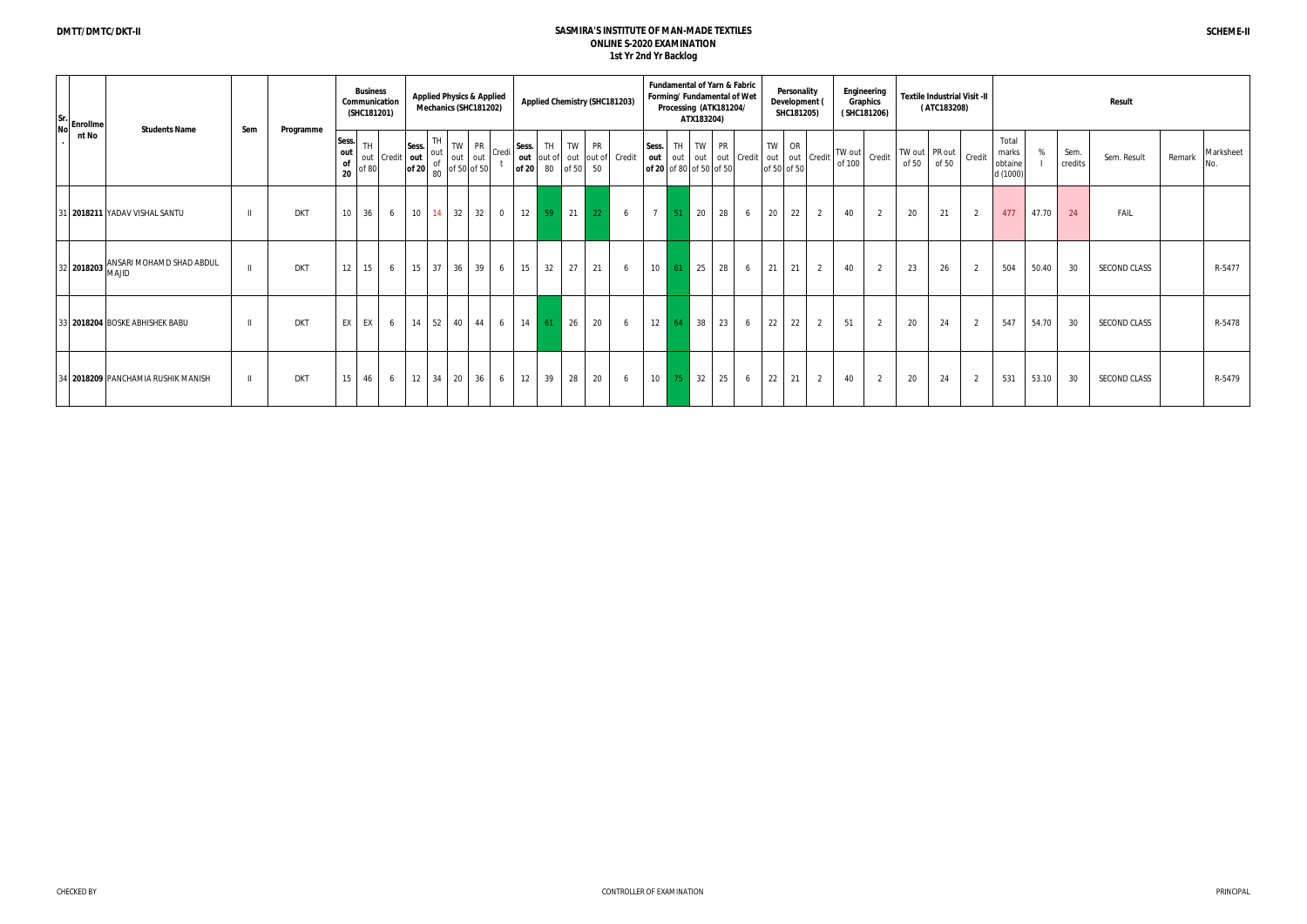| $ Sr.$ Enrollme! |                                                    |                |            |                                 | <b>Business</b><br>(SHC181201) | Communication                                                                                                                                                                                                                                                                                                                                                                                              |       | <b>Applied Physics &amp; Applied</b><br>Mechanics (SHC181202) |   |                                                     |    |       |                                                                                                         | <b>Applied Chemistry (SHC181203)</b> |                   |            | <b>Fundamental of Yarn &amp; Fabric</b><br>Forming/ Fundamental of Wet<br>Processing (ATK181204/<br>ATX183204) |    |                        |       | Personality<br>Development (<br>SHC181205) |   |                                                                                                                                                                                | Engineering<br>Graphics<br>(SHC181206)                 |                        | (ATC183208) | <b>Textile Industrial Visit -II</b> |                                       |       |                 | Result              |                            |
|------------------|----------------------------------------------------|----------------|------------|---------------------------------|--------------------------------|------------------------------------------------------------------------------------------------------------------------------------------------------------------------------------------------------------------------------------------------------------------------------------------------------------------------------------------------------------------------------------------------------------|-------|---------------------------------------------------------------|---|-----------------------------------------------------|----|-------|---------------------------------------------------------------------------------------------------------|--------------------------------------|-------------------|------------|----------------------------------------------------------------------------------------------------------------|----|------------------------|-------|--------------------------------------------|---|--------------------------------------------------------------------------------------------------------------------------------------------------------------------------------|--------------------------------------------------------|------------------------|-------------|-------------------------------------|---------------------------------------|-------|-----------------|---------------------|----------------------------|
| nt No            | <b>Students Name</b>                               | Sem            | Programme  | Sess.<br>out<br><b>of</b><br>20 |                                | $\begin{array}{c c c c} & \text{Sess.} & \text{I\'m} & \text{I\'m} & \text{I\'m} & \text{I\'m} \\ \hline \text{I\'m} & \text{I\'m} & \text{I\'m} & \text{I\'m} & \text{I\'m} & \text{I\'m} & \text{I\'m} \\ \text{I\'m} & \text{I\'m} & \text{I\'m} & \text{I\'m} & \text{I\'m} & \text{I\'m} & \text{I\'m} \\ \text{I\'m} & \text{I\'m} & \text{I\'m} & \text{I\'m} & \text{I\'m} & \text{I\'m} & \text{$ | TH    |                                                               |   |                                                     |    |       | $\begin{array}{ c c c c c c c c c } \hline \text{of 20} & 80 & \text{of 50} & 50 \\ \hline \end{array}$ |                                      |                   |            | Sess. TH TW PR<br>of 20 of 80 of 50 of 50                                                                      |    | out out out out Credit | TW OR | of 50 of 50                                |   | $\left  \begin{array}{c} 0 & \text{if} \\ \text{if} & \text{if} \end{array} \right $ out $\left  \begin{array}{c} \text{Credit} \\ \text{of} & \text{100} \end{array} \right $ | $\left  \text{TW out} \right $ Credit $\left  \right $ | TW out PR out<br>of 50 | of 50       | Credit                              | Total<br>marks<br>obtaine<br>d (1000) | %     | Sem.<br>credits | Sem. Result         | Marksheet<br>Remark<br>No. |
|                  | 31 2018211 YADAV VISHAL SANTU                      | $\blacksquare$ | <b>DKT</b> | 10 <sup>1</sup>                 | 36                             | 6                                                                                                                                                                                                                                                                                                                                                                                                          |       |                                                               |   | $10 \mid 14 \mid 32 \mid 32 \mid 0 \mid 12 \mid 59$ |    |       | $21$ 22                                                                                                 | 6                                    | 51                | $\vert$ 20 |                                                                                                                | 28 | 6                      | 20    | 22                                         | 2 | 40                                                                                                                                                                             | 2                                                      | 20                     | 21          | 2                                   | 477                                   | 47.70 | 24              | FAIL                |                            |
|                  | $\left 32\right $ 2018203 ANSARI MOHAMD SHAD ABDUL | $\mathbf{I}$   | <b>DKT</b> | 12 <sup>1</sup>                 | 15 <sup>1</sup>                | 6                                                                                                                                                                                                                                                                                                                                                                                                          | 15 37 | $36 \mid 39 \mid$                                             | 6 | 15                                                  | 32 | 27    | 21                                                                                                      | 6                                    | $10 \mid 61$      | $25$       |                                                                                                                | 28 | 6                      | 21    | 21                                         | 2 | 40                                                                                                                                                                             | 2                                                      | 23                     | 26          | 2                                   | 504                                   | 50.40 | 30              | <b>SECOND CLASS</b> | R-5477                     |
|                  | 33 2018204 BOSKE ABHISHEK BABU                     | $\blacksquare$ | <b>DKT</b> |                                 | EX EX                          | 6                                                                                                                                                                                                                                                                                                                                                                                                          |       | 14 52 40 44                                                   |   | $6$ 14 61                                           |    | 26    | 20                                                                                                      | 6                                    | $12 \mid 64 \mid$ | 38         |                                                                                                                | 23 | 6                      | 22    | 22                                         | 2 | 51                                                                                                                                                                             | 2                                                      | 20                     | 24          | 2                                   | 547                                   | 54.70 | 30              | <b>SECOND CLASS</b> | R-5478                     |
|                  | 34 2018209 PANCHAMIA RUSHIK MANISH                 | $\blacksquare$ | <b>DKT</b> | 15                              | 46                             | $6\quad$                                                                                                                                                                                                                                                                                                                                                                                                   |       |                                                               |   | $12 \mid 34 \mid 20 \mid 36 \mid 6 \mid 12 \mid$    |    | 39 28 | 20                                                                                                      | 6                                    | $10\quad 75$      | $\vert$ 32 |                                                                                                                | 25 | 6                      | 22    | 21                                         | 2 | 40                                                                                                                                                                             | 2                                                      | 20                     | 24          | 2                                   | 531                                   | 53.10 | 30              | <b>SECOND CLASS</b> | R-5479                     |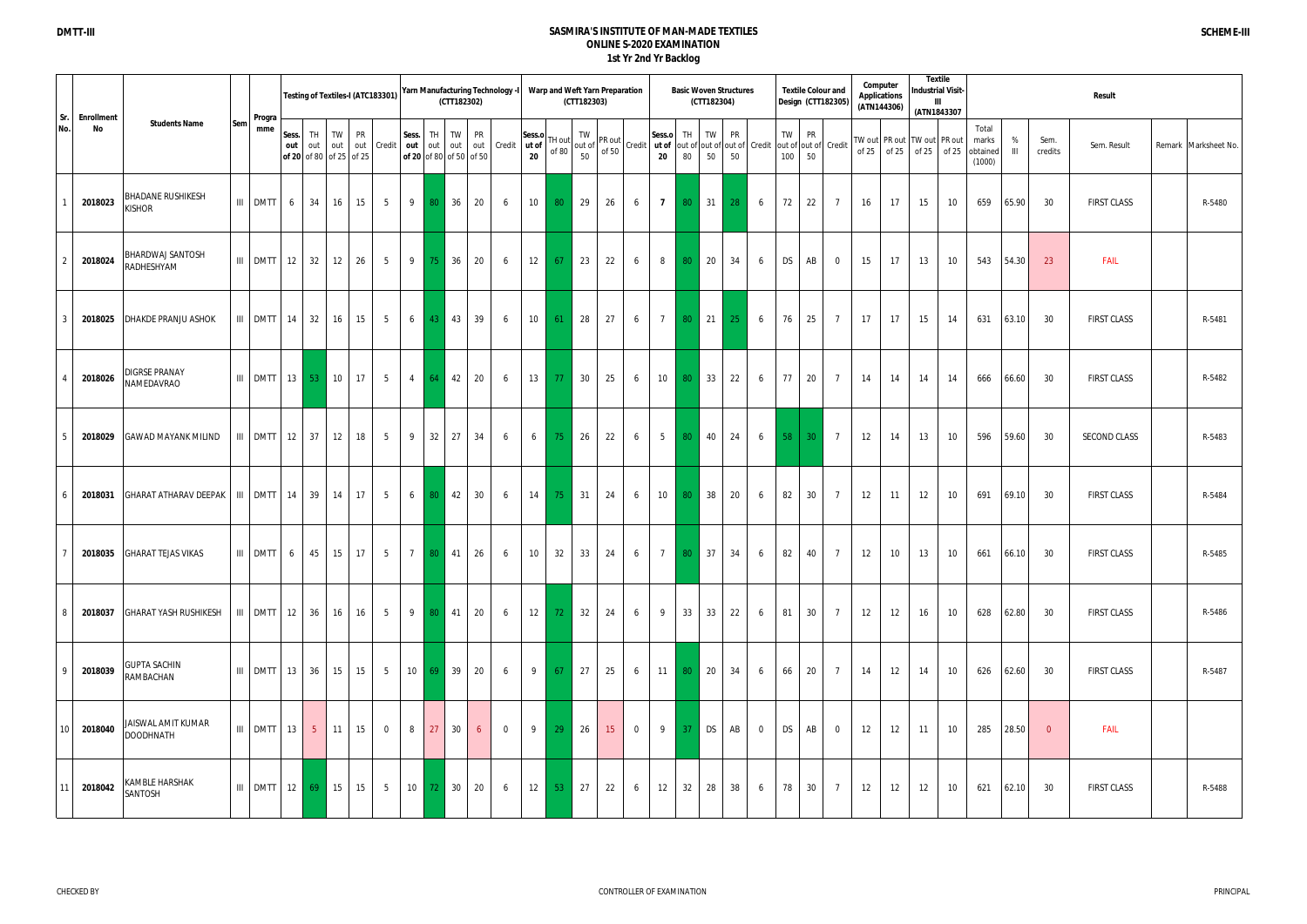|            |                         |                                           |     |                  |                                         |           |           | Testing of Textiles-I (ATC183301) |                 |                                                            | (CTT182302)           |           | Yarn Manufacturing Technology -I |                       |                 | Warp and Weft Yarn Preparation<br>(CTT182303) |                            |                |                 |                        | (CTT182304) | <b>Basic Woven Structures</b>                                                                                                                                                                                                                                                                                                                                          |                |           | <b>Textile Colour and</b><br>Design (CTT182305) |                   | Computer<br><b>Applications</b><br>(ATN144306) |    | <b>Textile</b><br><b>Industrial Visit-</b><br>(ATN1843307    |    |                                      |                     |                 | Result              |                      |
|------------|-------------------------|-------------------------------------------|-----|------------------|-----------------------------------------|-----------|-----------|-----------------------------------|-----------------|------------------------------------------------------------|-----------------------|-----------|----------------------------------|-----------------------|-----------------|-----------------------------------------------|----------------------------|----------------|-----------------|------------------------|-------------|------------------------------------------------------------------------------------------------------------------------------------------------------------------------------------------------------------------------------------------------------------------------------------------------------------------------------------------------------------------------|----------------|-----------|-------------------------------------------------|-------------------|------------------------------------------------|----|--------------------------------------------------------------|----|--------------------------------------|---------------------|-----------------|---------------------|----------------------|
| Sr.<br>No. | <b>Enrollment</b><br>No | <b>Students Name</b>                      | Sem | Progra<br>mme    | Sess.<br>out<br>of 20 of 80 of 25 of 25 | TH<br>out | <b>TW</b> | <b>PR</b>                         |                 | Sess.<br>out out Credit out out<br>of 20 of 80 of 50 of 50 | TW<br>TH              | <b>PR</b> | out out Credit ut of             | Sess.o<br>$20\degree$ | TH out<br>of 80 |                                               |                            |                |                 |                        |             | $\begin{bmatrix} 1 & 1 & 1 \\ 1 & 1 & 1 \\ 0 & 0 & 0 \end{bmatrix}$ PR out $\begin{bmatrix} 1 & 1 \\ 1 & 1 \\ 0 & 0 \end{bmatrix}$ Credit $\begin{bmatrix} 1 & 1 \\ 1 & 1 \\ 0 & 0 \end{bmatrix}$ Credit $\begin{bmatrix} 1 & 1 \\ 1 & 1 \\ 0 & 0 \end{bmatrix}$ Credit $\begin{bmatrix} 1 & 1 \\ 1 & 1 \\ 0 & 0 \end{bmatrix}$ Credit $\begin{bmatrix} 1 & 1 \\ 1 & $ |                | TW<br>100 | <b>PR</b><br>out of out of Credit<br>50         | of 25             |                                                |    | TW out   PR out   TW out   PR out<br>of $25$ of $25$ of $25$ |    | Total<br>marks<br>obtained<br>(1000) | %<br>$\mathbf{III}$ | Sem.<br>credits | Sem. Result         | Remark Marksheet No. |
|            | 2018023                 | <b>BHADANE RUSHIKESH</b><br><b>KISHOR</b> |     | III DMTT         | 6                                       | 34        | 16        | 15                                | $5\overline{)}$ | 9                                                          | 36<br>80 <sup>°</sup> | 20        | 6                                | 10                    | 80 <sup>°</sup> | 29                                            | 26                         | 6              | $\overline{7}$  | 80                     | 31          | 28                                                                                                                                                                                                                                                                                                                                                                     | 6              | 72        | 22<br>$\overline{7}$                            | 16                |                                                | 17 | 15                                                           | 10 | 659                                  | 65.90               | 30              | <b>FIRST CLASS</b>  | R-5480               |
|            | 2018024                 | BHARDWAJ SANTOSH<br>RADHESHYAM            |     | $III$ DMTT 12    |                                         | 32        | 12        | 26                                | 5 <sup>5</sup>  | 9                                                          | 36<br> 75             | 20        | 6                                | 12                    | 67              | 23                                            | 22                         | 6              | 8               | 80                     | 20          | 34                                                                                                                                                                                                                                                                                                                                                                     | 6              | <b>DS</b> | AB<br>$\overline{0}$                            | 15                |                                                | 17 | 13                                                           | 10 | 543                                  | 54.30               | -23             | FAIL                |                      |
|            | 2018025                 | <b>DHAKDE PRANJU ASHOK</b>                |     | III DMTT 14      |                                         | 32        | 16        | 15                                | 5 <sup>5</sup>  | $6 \mid 43$                                                | 43                    | 39        | 6                                | 10                    | 61              | 28                                            | 27                         | 6              | $7\overline{ }$ | 80                     | 21          | 25 <sub>1</sub>                                                                                                                                                                                                                                                                                                                                                        | 6              | 76        | 25<br>$\overline{7}$                            | 17                |                                                | 17 | 15                                                           | 14 | 631                                  | 63.10               | 30              | <b>FIRST CLASS</b>  | R-5481               |
|            | 2018026                 | DIGRSE PRANAY<br>NAMEDAVRAO               |     | $III$ DMTT 13 53 |                                         |           | 10        | 17                                | 5 <sup>5</sup>  | $\overline{4}$<br>64                                       | 42                    | 20        | 6                                | 13                    | $-77$           | 30                                            | 25                         | 6              | 10              | 80                     | 33          | 22                                                                                                                                                                                                                                                                                                                                                                     | 6              | 77        | 20<br>$7\overline{ }$                           | 14                |                                                | 14 | 14                                                           | 14 | 666                                  | 66.60               | 30              | <b>FIRST CLASS</b>  | R-5482               |
|            | 2018029                 | <b>GAWAD MAYANK MILIND</b>                |     | III DMTT         | $12 \mid 37$                            |           | 12        | 18                                | 5 <sup>5</sup>  | 9                                                          | 32<br>27              | 34        | 6                                | 6                     | 75              | 26                                            | 22                         | 6              | 5 <sup>5</sup>  | 80                     | 40          | 24                                                                                                                                                                                                                                                                                                                                                                     | 6              | 58        | 30 <sup>°</sup><br>$\overline{7}$               | 12                |                                                | 14 | 13                                                           | 10 | 596                                  | 59.60               | 30              | <b>SECOND CLASS</b> | R-5483               |
|            | 2018031                 | <b>GHARAT ATHARAV DEEPAK</b>              |     | $III$ DMTT 14 39 |                                         |           | 14        | 17                                | 5 <sup>5</sup>  | $6 \quad 80$                                               | $\vert$ 42            | 30        | 6                                | 14                    | 75              | 31                                            | 24                         | 6              | 10              | 80                     | 38          | 20                                                                                                                                                                                                                                                                                                                                                                     | 6              | 82        | 30 <sup>°</sup><br>$7\overline{ }$              | 12                |                                                | 11 | 12                                                           | 10 | 691                                  | 69.10               | 30              | <b>FIRST CLASS</b>  | R-5484               |
|            |                         | 2018035 GHARAT TEJAS VIKAS                |     |                  |                                         |           |           |                                   |                 | III DMTT 6 45 15 17 5 7 80 41 26                           |                       |           |                                  |                       | $6$ 10 32       | $33 \mid 24 \mid 6$                           | and the state of the state |                |                 | <b>Service Service</b> |             |                                                                                                                                                                                                                                                                                                                                                                        |                |           | 7 80 37 34 6 82 40 7                            | 12                |                                                | 10 | 13                                                           | 10 |                                      | 661 66.10           | - 30            | <b>FIRST CLASS</b>  | R-5485               |
|            | 2018037                 | <b>GHARAT YASH RUSHIKESH</b>              |     | $III$ DMTT 12 36 |                                         |           | 16        | 16                                | 5 <sub>5</sub>  |                                                            | 9 80 41               | 20        | 6                                | 12                    | 72              | 32                                            | 24                         | 6              | 9               | 33                     | 33          | 22                                                                                                                                                                                                                                                                                                                                                                     | 6              | 81        | 30<br>$7\overline{ }$                           | 12                |                                                | 12 | 16                                                           | 10 | 628                                  | 62.80               | -30             | <b>FIRST CLASS</b>  | R-5486               |
|            | 2018039                 | <b>GUPTA SACHIN</b><br>RAMBACHAN          |     | $III$ DMTT 13 36 |                                         |           | 15        | 15                                | 5 <sub>1</sub>  |                                                            | 10 69 39              | 20        | 6                                | 9                     | 67              | 27                                            | 25                         | 6              | 11              | 80 <sub>1</sub>        | 20          | 34                                                                                                                                                                                                                                                                                                                                                                     | 6              | 66        | 20<br>$7\overline{ }$                           | 14                |                                                | 12 | 14                                                           | 10 | 626                                  | 62.60               | 30              | <b>FIRST CLASS</b>  | R-5487               |
| 10         | 2018040                 | JAISWAL AMIT KUMAR<br><b>DOODHNATH</b>    |     | $III$ DMTT 13    |                                         | $-5$      | 11        | 15                                | $\overline{0}$  | 8                                                          | 27<br>30 <sup>°</sup> | 6         | $\overline{0}$                   | 9                     | 29              | 26                                            | 15 <sup>2</sup>            | $\overline{0}$ | 9               | 37                     | DS          | AB                                                                                                                                                                                                                                                                                                                                                                     | $\overline{0}$ | <b>DS</b> | AB<br>$\overline{0}$                            | $12 \overline{ }$ |                                                | 12 | 11                                                           | 10 | 285                                  | 28.50               | $\overline{0}$  | FAIL                |                      |
| 11         | 2018042                 | KAMBLE HARSHAK<br>SANTOSH                 |     | $III$ DMTT 12 69 |                                         |           | 15        | 15                                | 5 <sub>1</sub>  |                                                            | 10 72 30              | 20        | 6                                | 12                    | 53              | 27                                            | 22                         | 6              | 12              | 32                     | 28          | 38                                                                                                                                                                                                                                                                                                                                                                     | 6              | 78        | 30<br>$\overline{7}$                            | 12                |                                                | 12 | 12                                                           | 10 | 621                                  | 62.10               | 30              | <b>FIRST CLASS</b>  | R-5488               |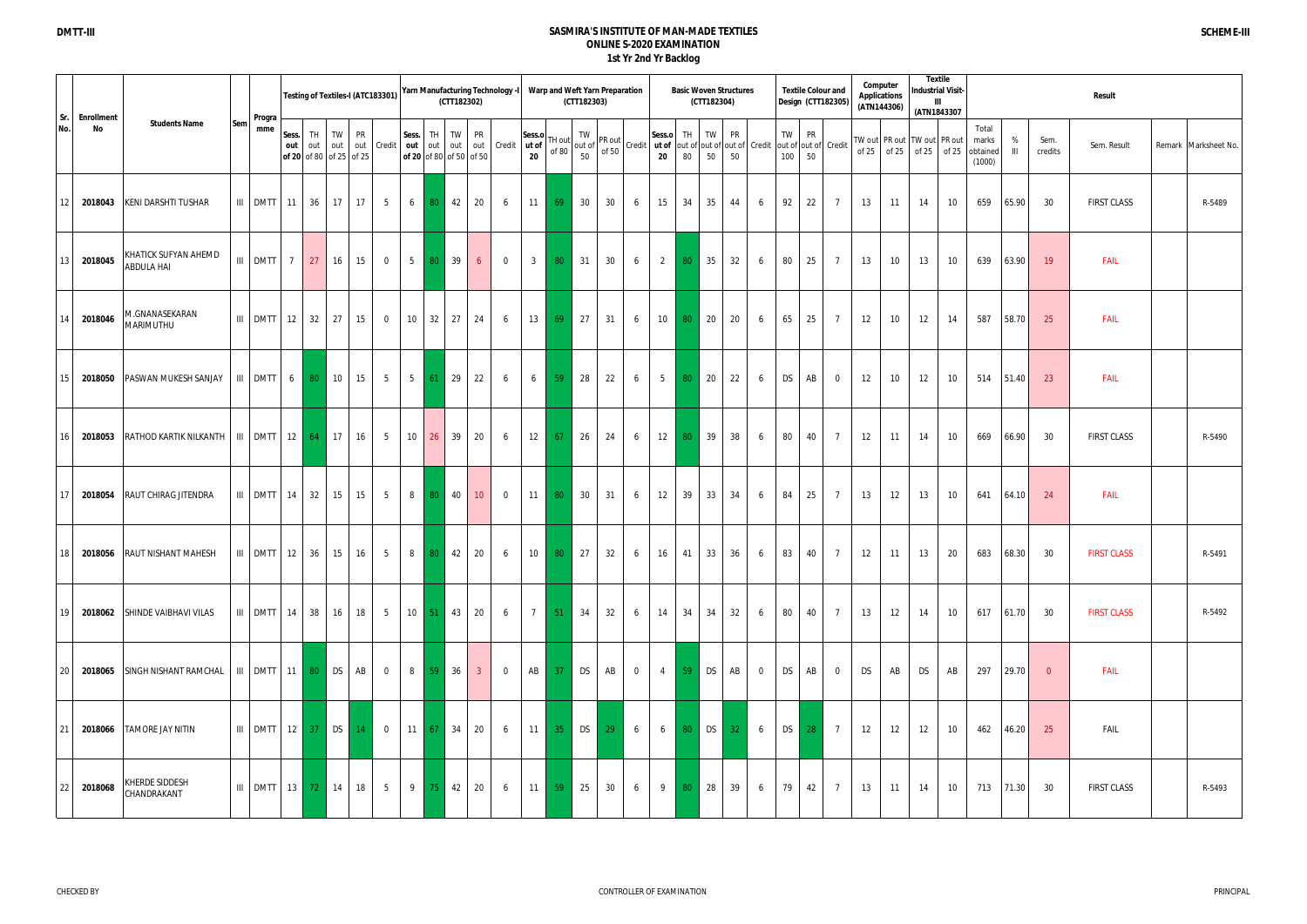|                 |                  |                                                   |                  |                |                                            |              |    | Testing of Textiles-I (ATC183301) |                 |                                                 | (CTT182302) |                | Yarn Manufacturing Technology -I |                       |                     | (CTT182303) | Warp and Weft Yarn Preparation                                                                                                                                                                                                                                                   |                            | <b>Basic Woven Structures</b><br>(CTT182304) |           |                                                                     |     |                         | <b>Textile Colour and</b><br>Design (CTT182305) |    | Computer<br>Applications<br>(ATN144306) |                                                              | Textile<br><b>Industrial Visit-</b><br>(ATN1843307 |       |                                      |           |                 | Result             |                      |
|-----------------|------------------|---------------------------------------------------|------------------|----------------|--------------------------------------------|--------------|----|-----------------------------------|-----------------|-------------------------------------------------|-------------|----------------|----------------------------------|-----------------------|---------------------|-------------|----------------------------------------------------------------------------------------------------------------------------------------------------------------------------------------------------------------------------------------------------------------------------------|----------------------------|----------------------------------------------|-----------|---------------------------------------------------------------------|-----|-------------------------|-------------------------------------------------|----|-----------------------------------------|--------------------------------------------------------------|----------------------------------------------------|-------|--------------------------------------|-----------|-----------------|--------------------|----------------------|
| Sr.<br>No.      | Enrollment<br>No | <b>Students Name</b><br>Sem                       | Progra<br>mme    | out            | Sess. TH<br>out<br>of 20 of 80 of 25 of 25 | TW PR<br>out |    | out Credit                        | Sess.           | TH TW<br>out out out<br>of 20 of 80 of 50 of 50 |             | <b>PR</b>      | out Credit ut of                 | Sess.o<br>$20\degree$ |                     | TW          | $\left[\begin{array}{c} \n\text{TH out} \\ \text{of 80} \\ \text{of 90}\n\end{array}\right] \n\left[\begin{array}{c} \n\text{IVV} \\ \text{out of} \\ \text{of 50}\n\end{array}\right] \n\left[\begin{array}{c} \text{Credit} \\ \text{Credit} \\ \text{20}\n\end{array}\right]$ | Sess.o                     | TH I<br>80<br>50                             | TW        | <b>PR</b><br>out of out of out of Credit out of out of Credit<br>50 | 100 | TW I<br><b>PR</b><br>50 |                                                 |    |                                         | TW out   PR out   TW out   PR out<br>of $25$ of $25$ of $25$ |                                                    | of 25 | Total<br>marks<br>obtained<br>(1000) | %<br>Ш    | Sem.<br>credits | Sem. Result        | Remark Marksheet No. |
| 12              | 2018043          | KENI DARSHTI TUSHAR                               | III DMTT 11      |                | 36                                         | 17           | 17 | $5\overline{)}$                   | 6               | 80                                              | 42          | 20             | 6                                | 11                    | 69                  | 30          | 30                                                                                                                                                                                                                                                                               | 15<br>6                    | 34                                           | 35        | 44<br>6                                                             | 92  | 22                      | $7\overline{ }$                                 | 13 | 11                                      | 14                                                           |                                                    | 10    | 659                                  | 65.90     | 30              | <b>FIRST CLASS</b> | R-5489               |
| 13              | 2018045          | KHATICK SUFYAN AHEMD<br>ABDULA HAI                | III DMTT         | $\overline{7}$ | 27                                         | 16           | 15 | $\overline{0}$                    | $5\overline{)}$ | -80                                             | 39          | 6              | $\overline{0}$                   | 3 <sup>3</sup>        | 80 <sup>°</sup>     | 31          | 30                                                                                                                                                                                                                                                                               | 2<br>6                     | 80<br>35                                     |           | 32<br>6                                                             | 80  | 25                      | $7\overline{ }$                                 | 13 | 10 <sup>°</sup>                         | 13                                                           |                                                    | 10    | 639                                  | 63.90     | 19              | <b>FAIL</b>        |                      |
| 14              | 2018046          | M.GNANASEKARAN<br>MARIMUTHU                       | $III$ DMTT 12 32 |                |                                            | 27           | 15 | $\overline{0}$                    | 10 <sup>°</sup> | 32                                              | 27          | 24             | 6                                | 13                    | 69                  | 27          | 31                                                                                                                                                                                                                                                                               | 10<br>6                    | 80<br>20                                     |           | 20<br>6                                                             | 65  | 25                      | $7\overline{ }$                                 | 12 | 10                                      | 12                                                           |                                                    | 14    | 587                                  | 58.70     | 25              | <b>FAIL</b>        |                      |
| 15              | 2018050          | PASWAN MUKESH SANJAY   III DMTT                   |                  | 6              | 80                                         | 10           | 15 | $5\overline{)}$                   | $5\overline{)}$ | 61                                              | 29          | 22             | 6                                | 6                     | 59 <sup>°</sup>     | 28          | 22                                                                                                                                                                                                                                                                               | $5\overline{)}$<br>6       | 80                                           | 20        | 22<br>6                                                             | DS  | AB                      | $\overline{0}$                                  | 12 | 10 <sup>°</sup>                         | 12                                                           |                                                    | 10    |                                      | 514 51.40 | 23              | <b>FAIL</b>        |                      |
| 16              | 2018053          | RATHOD KARTIK NILKANTH   III   DMTT               |                  |                | $12 \mid 64 \mid$                          | 17           | 16 | 5 <sup>5</sup>                    | 10              | 26                                              | 39          | 20             | 6                                | 12                    | 67                  | 26          | 24                                                                                                                                                                                                                                                                               | 12<br>6                    | 39<br>80                                     |           | 38<br>6                                                             | 80  |                         | 40<br>$7\phantom{.0}$                           | 12 | 11                                      | 14                                                           |                                                    | 10    | 669                                  | 66.90     | - 30            | <b>FIRST CLASS</b> | R-5490               |
| 17              |                  | 2018054 RAUT CHIRAG JITENDRA                      | $III$ DMTT 14 32 |                |                                            | 15           | 15 | $5\overline{)}$                   |                 | 8 80                                            | 40          | 10             | $\overline{0}$                   | 11                    | 80                  | 30          | 31                                                                                                                                                                                                                                                                               | 12<br>6                    | 39                                           | 33        | 34<br>6                                                             | 84  | 25                      | $7\overline{ }$                                 | 13 | 12                                      | 13                                                           |                                                    | 10    | 641                                  | 64.10     | 24              | FAIL               |                      |
| 18              |                  | 2018056 RAUT NISHANT MAHESH                       |                  |                |                                            |              |    |                                   |                 |                                                 |             |                |                                  |                       |                     |             | III DMTT 12 36 15 16 5 8 8 9 42 20 6 10 80 27 32 6 16 41 33 36 6 83 40 7 12                                                                                                                                                                                                      |                            |                                              |           |                                                                     |     |                         |                                                 |    | 11                                      | 13                                                           |                                                    | 20    |                                      | 683 68.30 | 30              | <b>FIRST CLASS</b> | R-5491               |
| 19 <sup>1</sup> |                  | 2018062 SHINDE VAIBHAVI VILAS                     | $III$ DMTT 14 38 |                |                                            | 16           | 18 | $5-1$                             |                 | $10 \mid 51 \mid 43 \mid$                       |             | 20             | 6                                |                       | $7 \mid 51 \mid$    | 34          | 32                                                                                                                                                                                                                                                                               | 6<br>14                    | 34                                           | 34        | 32<br>6                                                             | 80  |                         | 40<br>$7\phantom{.0}$                           | 13 | 12                                      | 14                                                           |                                                    | 10    | 617 61.70                            |           | - 30            | <b>FIRST CLASS</b> | R-5492               |
| 20              | 2018065          | SINGH NISHANT RAMCHAL   III   DMTT   11   80   DS |                  |                |                                            |              | AB | $\overline{0}$                    |                 | 8 59 36                                         |             | 3 <sup>2</sup> | $\overline{0}$                   |                       | AB 37               | <b>DS</b>   | AB                                                                                                                                                                                                                                                                               | $4 \mid$<br>$\overline{0}$ | $-59$                                        | <b>DS</b> | AB<br>$\overline{0}$                                                | DS  | AB                      | $\overline{0}$                                  | DS | AB                                      | DS                                                           |                                                    | AB    |                                      | 297 29.70 | $\overline{0}$  | <b>FAIL</b>        |                      |
| 21              | 2018066          | <b>TAMORE JAY NITIN</b>                           | $III$ DMTT 12 37 |                |                                            | DS           | 14 |                                   |                 | $0$   11   67   34                              |             | 20             | 6                                |                       | $11 \quad 35 \quad$ | <b>DS</b>   | 29                                                                                                                                                                                                                                                                               | 6<br>6                     | $80$ DS                                      |           | 32 <sup>2</sup><br>6                                                |     | DS<br>28                | $\overline{7}$                                  | 12 | 12                                      | 12                                                           |                                                    | 10    |                                      | 462 46.20 | 25              | FAIL               |                      |
| 22              | 2018068          | KHERDE SIDDESH<br>CHANDRAKANT                     | $III$ DMTT 13    |                | 72                                         | 14           | 18 | $5\overline{)}$                   | 9               |                                                 | 75 42       | 20             | 6                                |                       | $11 \quad 59$       | 25          | 30                                                                                                                                                                                                                                                                               | 9<br>6                     | 28<br>80                                     |           | 39<br>6                                                             | 79  | 42                      | $7\overline{ }$                                 | 13 | 11                                      | 14                                                           |                                                    | 10    |                                      | 713 71.30 | 30              | <b>FIRST CLASS</b> | R-5493               |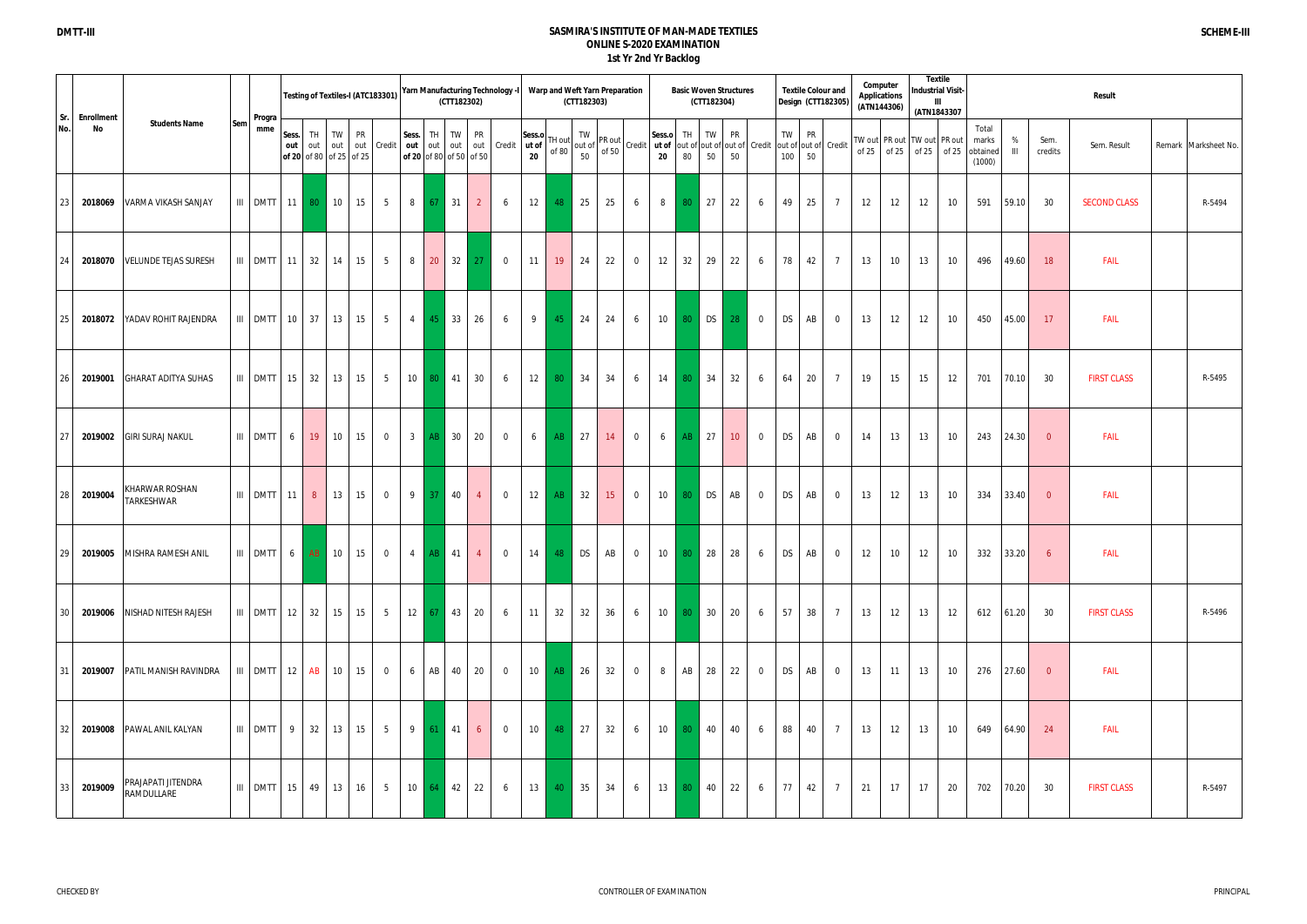|            |                         |                                  |     |                  |              |                                        |              |    | Testing of Textiles-I (ATC183301) |                |                   | (CTT182302)      |                                      | Yarn Manufacturing Technology -I |              | Warp and Weft Yarn Preparation                | (CTT182303) |    |                                                                                                                                                                   |                 |                 | <b>Basic Woven Structures</b><br>(CTT182304) |                 |                                                  |             |                 | <b>Textile Colour and</b><br>Design (CTT182305) |    | Computer<br><b>Applications</b><br>(ATN144306) | (ATN1843307                                     | <b>Textile</b><br><b>Industrial Visit-</b><br>Ш |                                      |                     |                          | Result              |                      |
|------------|-------------------------|----------------------------------|-----|------------------|--------------|----------------------------------------|--------------|----|-----------------------------------|----------------|-------------------|------------------|--------------------------------------|----------------------------------|--------------|-----------------------------------------------|-------------|----|-------------------------------------------------------------------------------------------------------------------------------------------------------------------|-----------------|-----------------|----------------------------------------------|-----------------|--------------------------------------------------|-------------|-----------------|-------------------------------------------------|----|------------------------------------------------|-------------------------------------------------|-------------------------------------------------|--------------------------------------|---------------------|--------------------------|---------------------|----------------------|
| Sr.<br>No. | <b>Enrollment</b><br>No | <b>Students Name</b>             | Sem | Progra<br>mme    | Sess.<br>out | TH  <br>out<br>of 20 of 80 of 25 of 25 | TW           | PR | out out Credit                    | Sess.<br>out   | TH<br>out         | TW               | <b>PR</b><br>of 20 of 80 of 50 of 50 | out out Credit ut of             | Sess.o<br>20 | TH out<br>of $80$                             |             |    | vut $\begin{vmatrix} 1 & v & v \\ 0 & 1 & 0 \\ 0 & 0 & 50 \end{vmatrix}$ Credit $\begin{vmatrix} \text{Sess.} \\ \text{ut of } \\ \text{ut of } \\ \end{vmatrix}$ |                 | TH<br>80        | TW<br>50                                     | <b>PR</b><br>50 | out of out of out of Credit out of out of Credit | TW I<br>100 | <b>PR</b><br>50 |                                                 |    |                                                | TW out PR out TW out<br>of $25$ of $25$ of $25$ | PR out<br>of 25                                 | Total<br>marks<br>obtained<br>(1000) | %<br>$\mathbf{III}$ | Sem.<br>credits          | Sem. Result         | Remark Marksheet No. |
| 23         | 2018069                 | VARMA VIKASH SANJAY              |     | III DMTT 11      |              | 80 <sub>1</sub>                        | 10           | 15 | 5 <sup>5</sup>                    | 8              | 67                | 31               | $\overline{2}$                       | 6                                | 12           | 48                                            | 25          | 25 | 6                                                                                                                                                                 | 8               | 80 <sup>°</sup> | 27                                           | 22              | 6                                                | 49          | 25              | $\overline{7}$                                  | 12 | 12                                             | 12                                              | 10                                              | 591                                  | 59.10               | 30                       | <b>SECOND CLASS</b> | R-5494               |
| 24         |                         | 2018070 VELUNDE TEJAS SURESH     |     | III DMTT 11      |              | 32                                     | 14           | 15 | 5                                 | 8              | 20                |                  | $32 \mid 27$                         | $\overline{0}$                   | 11           | 19                                            | 24          | 22 | $\mathbf 0$                                                                                                                                                       | 12              | 32              | 29                                           | 22              | 6                                                | 78          | 42              | $\overline{7}$                                  | 13 | 10                                             | 13                                              | 10                                              | 496                                  | 49.60               | 18                       | FAIL                |                      |
| 25         | 2018072                 | YADAV ROHIT RAJENDRA             |     | III DMTT 10      |              | 37                                     | 13           | 15 | $5\overline{)}$                   | $\overline{4}$ | 45                | 33               | 26                                   | 6                                | 9            | 45                                            | 24          | 24 | 6                                                                                                                                                                 | $10$            |                 | 80 DS                                        | 28              | $\overline{0}$                                   | <b>DS</b>   | AB              | $\overline{0}$                                  | 13 | 12                                             | 12                                              | 10                                              | 450                                  | 45.00               | 17                       | FAIL                |                      |
| 26         | 2019001                 | <b>GHARAT ADITYA SUHAS</b>       |     | III DMTT 15      |              | 32                                     | 13           | 15 | $5\overline{)}$                   |                |                   | 10 80 41         | 30                                   | 6                                | 12           | 80                                            | 34          | 34 | 6                                                                                                                                                                 | 14              | 80              | 34                                           | 32              | 6                                                | 64          | 20              | $\overline{7}$                                  | 19 | 15                                             | 15                                              | 12                                              | 701                                  | 70.10               | - 30                     | <b>FIRST CLASS</b>  | R-5495               |
| 27         | 2019002                 | <b>GIRI SURAJ NAKUL</b>          |     | III DMTT         | 6            | 19                                     | 10           | 15 | $\overline{0}$                    |                | $3$ $AB$          | 30               | 20                                   | $\overline{0}$                   | 6            | AB                                            | 27          | 14 | $\overline{0}$                                                                                                                                                    | 6               | AB              | 27                                           | $10-10$         | $\overline{0}$                                   | <b>DS</b>   | AB              | $\overline{0}$                                  | 14 | 13                                             | 13                                              | 10                                              | 243                                  | 24.30               | $\overline{0}$           | FAIL                |                      |
| 28         | 2019004                 | KHARWAR ROSHAN<br>TARKESHWAR     |     | III DMTT 11      |              | 8 <sup>1</sup>                         | 13           | 15 | $\overline{0}$                    |                | $9 \mid 37 \mid$  | 40               | $\overline{4}$                       | $\overline{0}$                   | 12           | AB                                            | 32          | 15 | $\overline{0}$                                                                                                                                                    | 10              | 80              | <b>DS</b>                                    | AB              | $\overline{0}$                                   | <b>DS</b>   | AB              | $\overline{0}$                                  | 13 | 12                                             | 13                                              | 10                                              | 334                                  | $33.40$             | $\overline{0}$           | FAIL                |                      |
| 29         |                         | 2019005 MISHRA RAMESH ANIL       |     |                  |              |                                        |              |    |                                   |                |                   |                  | 4 <sup>1</sup>                       |                                  |              | 0   14   48   DS   AB   0   10   80   28   28 |             |    |                                                                                                                                                                   |                 |                 |                                              |                 |                                                  |             |                 | $6$ DS $AB$ 0                                   | 12 | 10                                             | 12                                              | 10                                              |                                      | 332 33.20           | 6                        | <b>FAIL</b>         |                      |
| 30         |                         | 2019006 NISHAD NITESH RAJESH     |     | $III$ DMTT 12 32 |              |                                        | 15 15        |    | $5\overline{)}$                   |                | $12 \mid 67 \mid$ | 43               | 20                                   | 6                                | 11           | 32                                            | 32          | 36 | 6                                                                                                                                                                 |                 | 10 80 30        |                                              | 20              | 6                                                | 57 38       |                 | $\overline{7}$                                  | 13 | 12                                             | 13                                              | 12                                              |                                      | 612 61.20           | 30                       | <b>FIRST CLASS</b>  | R-5496               |
| 31         |                         | 2019007 PATIL MANISH RAVINDRA    |     | $III$ DMTT 12 AB |              |                                        | 10 15        |    | $\overline{0}$                    | 6              | AB                | 40               | 20                                   | $\overline{0}$                   | 10           | AB                                            | 26          | 32 | $\overline{0}$                                                                                                                                                    | 8               | AB              | 28                                           | 22              | $\overline{0}$                                   | <b>DS</b>   | AB              | $\overline{0}$                                  | 13 | 11                                             | 13                                              | 10                                              |                                      | 276 27.60           | $\overline{\phantom{0}}$ | FAIL                |                      |
| 32         |                         | 2019008 PAWAL ANIL KALYAN        |     | III DMTT 9       |              | 32                                     | 13 15        |    | 5                                 |                | $9 \mid 61 \mid$  | 41               | 6                                    | $\overline{0}$                   | 10           | 48                                            | 27          | 32 | 6                                                                                                                                                                 | 10 <sup>1</sup> | $80-1$          | 40                                           | 40              | 6                                                | 88          | 40              | $7\overline{ }$                                 | 13 | 12                                             | 13                                              | 10                                              |                                      | 649 64.90           | 24                       | FAIL                |                      |
| 33         | 2019009                 | PRAJAPATI JITENDRA<br>RAMDULLARE |     | III DMTT 15      |              | 49                                     | $13 \mid 16$ |    | 5 <sup>5</sup>                    |                |                   | $10 \t 64 \t 42$ | 22                                   | 6                                | 13           | 40                                            | 35          | 34 | 6                                                                                                                                                                 |                 | 13 80           | 40                                           | 22              | 6                                                | 77          | 42              | $\overline{7}$                                  | 21 | 17                                             | 17                                              | 20                                              |                                      | 702 70.20           | 30                       | <b>FIRST CLASS</b>  | R-5497               |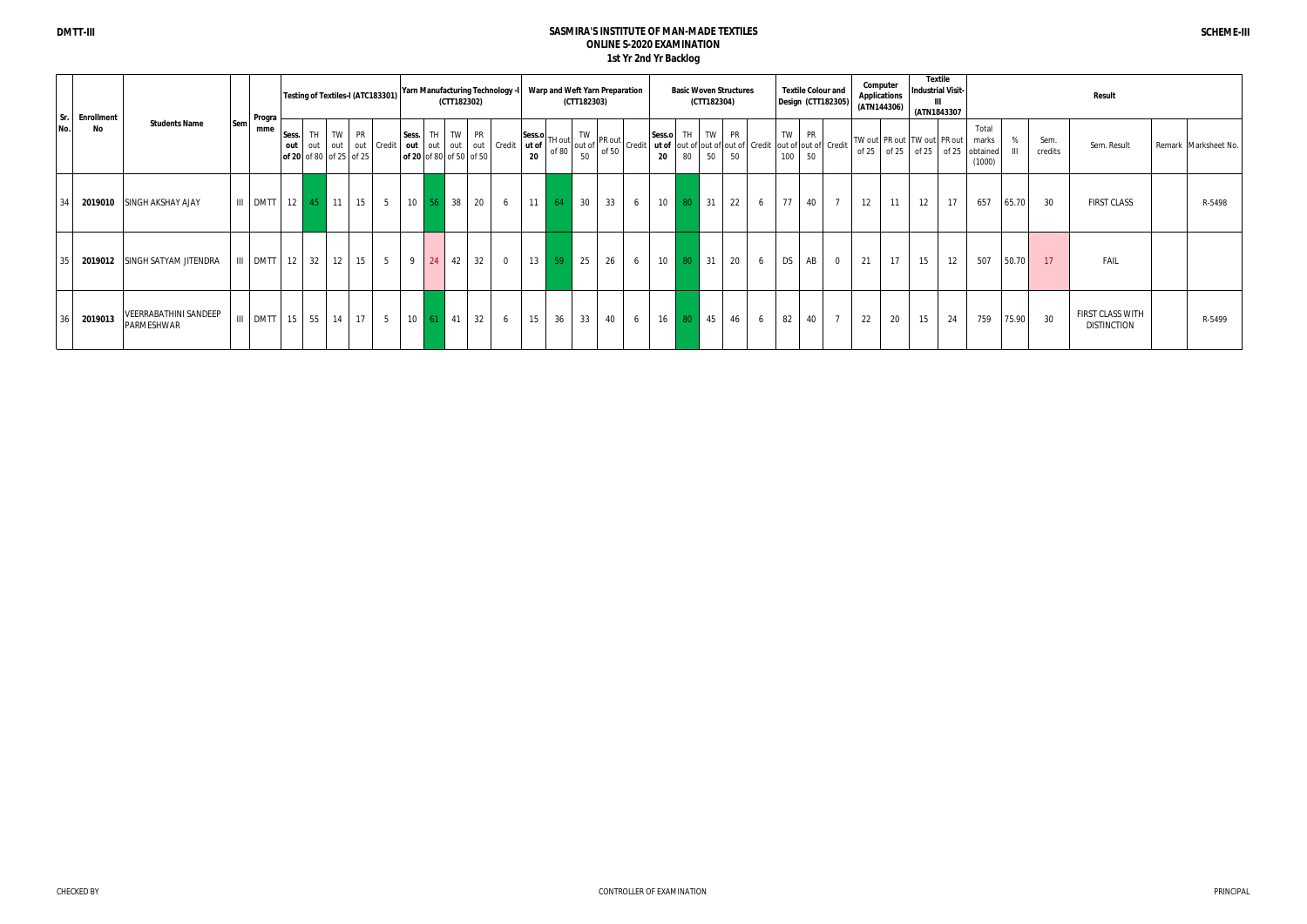| I Sr. | <b>Enrollment</b> |                                     |               |       |                             |    |                                                            | Testing of Textiles-I (ATC183301) |       |                   | (CTT182302)      |                         | <b>Yarn Manufacturing Technology -I</b> |                 | Warp and Weft Yarn Preparation   | (CTT182303) |    |                                                                                                        |                           |                 | (CTT182304) | <b>Basic Woven Structures</b>           |     |           | <b>Textile Colour and</b><br>Design (CTT182305) |         | Computer<br><b>Applications</b><br>(ATN144306) |    | <b>Textile</b><br><b>Industrial Visit-</b><br>ш<br>(ATN1843307 |                                                              |       |                 | Result                                 |                      |
|-------|-------------------|-------------------------------------|---------------|-------|-----------------------------|----|------------------------------------------------------------|-----------------------------------|-------|-------------------|------------------|-------------------------|-----------------------------------------|-----------------|----------------------------------|-------------|----|--------------------------------------------------------------------------------------------------------|---------------------------|-----------------|-------------|-----------------------------------------|-----|-----------|-------------------------------------------------|---------|------------------------------------------------|----|----------------------------------------------------------------|--------------------------------------------------------------|-------|-----------------|----------------------------------------|----------------------|
| No.   | No                | <b>Students Name</b><br>Sem         | Progra<br>mme | Sess. | $\overline{\phantom{a}}$ TH |    | TW PR<br>out out out out Credit<br>of 20 of 80 of 25 of 25 |                                   | Sess. |                   | TH TW PR         | of 20 of 80 of 50 of 50 | out out out out Credit                  | ut of $ $<br>20 | $ \text{Sess.o} $ TH out $\vert$ | 50          |    | TH out $\begin{bmatrix} TW\\ out \text{ of } PR \text{ out } \\ of \text{ of } 50\end{bmatrix}$ Credit | Sess.o TH TW PR<br>$20\,$ | 80              | 50          | ut of out of out of out of Credit<br>50 |     | TW<br>100 | <b>PR</b><br>out of out of Credit<br>50         | of $25$ |                                                |    | TW out PR out TW out PR out                                    | Total<br>marks<br>of 25   of 25   of 25   obtained<br>(1000) |       | Sem.<br>credits | Sem. Result                            | Remark Marksheet No. |
| 34    | 2019010           | <b>SINGH AKSHAY AJAY</b>            | III DMTT      |       | $12 \quad 45 \quad 11$      |    | 15                                                         | $5-1$                             |       | $10 \mid 56 \mid$ | 38               | 20                      | 6                                       |                 | $11 \quad 64$                    | 30          | 33 | 6                                                                                                      | 10                        | 80 <sup>°</sup> | 31          | 22                                      | - 6 | 77        | 40<br>$\overline{7}$                            | 12      | 11                                             | 12 | 17                                                             | 657                                                          | 65.70 | 30              | <b>FIRST CLASS</b>                     | R-5498               |
| 35    | 2019012           | SINGH SATYAM JITENDRA               | III DMTT      |       | $12 \overline{32}$          | 12 | 15                                                         | 5                                 | 9     | 24                | 42               | 32                      | $\overline{0}$                          | $13 \parallel$  | $-59$                            | 25          | 26 | 6                                                                                                      | 10                        | 80 <sup>°</sup> | 31          | 20                                      | - 6 | <b>DS</b> | AB<br>$\overline{0}$                            | 21      | 17                                             | 15 | 12                                                             | 507                                                          | 50.70 | 17              | <b>FAIL</b>                            |                      |
| 36    | 2019013           | VEERRABATHINI SANDEEP<br>PARMESHWAR | III DMTT      |       | $15 \mid 55$                | 14 | 17                                                         | $5-1$                             |       |                   | $10 \t 61 \t 41$ | 32                      | 6                                       | 15              | 36                               | 33          | 40 | 6                                                                                                      | 16                        | 80 <sup>°</sup> | 45          | 46                                      | 6   | 82        | $\overline{7}$<br>40                            | 22      | 20                                             | 15 | 24                                                             | 759                                                          | 75.90 | 30              | FIRST CLASS WITH<br><b>DISTINCTION</b> | R-5499               |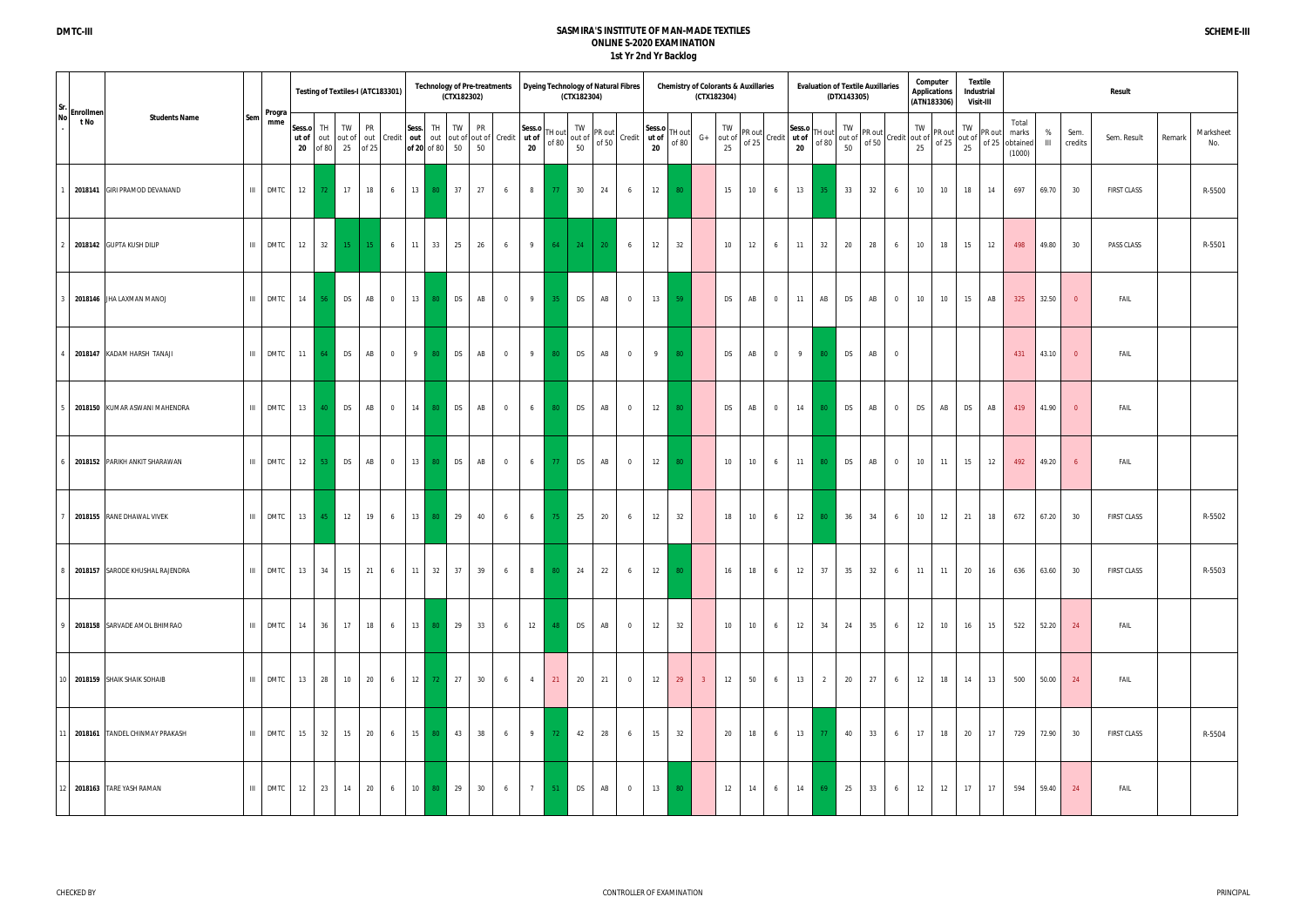| $ $ Sr. $ $ Enrollmen                     |       |               |                       |                     |                             |            | Testing of Textiles-I (ATC183301) |                | (CTX182302)                | <b>Technology of Pre-treatments</b>                            |       |                 |                   | (CTX182304)        | Dyeing Technology of Natural Fibres |                 |                              |                 | <b>Chemistry of Colorants &amp; Auxillaries</b> | (CTX182304)     |    |                |                                                                                                            |                 | (DTX143305) | <b>Evaluation of Textile Auxillaries</b> |                | (ATN183306)                                                                                       | Computer<br><b>Applications</b> |                                                                                       | Textile<br>Industrial<br><b>Visit-III</b> |                                            |                     |                 | Result             |        |                  |
|-------------------------------------------|-------|---------------|-----------------------|---------------------|-----------------------------|------------|-----------------------------------|----------------|----------------------------|----------------------------------------------------------------|-------|-----------------|-------------------|--------------------|-------------------------------------|-----------------|------------------------------|-----------------|-------------------------------------------------|-----------------|----|----------------|------------------------------------------------------------------------------------------------------------|-----------------|-------------|------------------------------------------|----------------|---------------------------------------------------------------------------------------------------|---------------------------------|---------------------------------------------------------------------------------------|-------------------------------------------|--------------------------------------------|---------------------|-----------------|--------------------|--------|------------------|
| <b>No</b><br><b>Students Name</b><br>t No | Sem   | Progra<br>mme | Sess.o<br>ut of<br>20 | TH.<br>out<br>of 80 | TW<br>25                    | out of out | <b>PR</b><br>of 25                | Sess.          | TW<br>TH<br>of 20 of 80 50 | <b>PR</b><br>Credit   out   out   out of out of Credit  <br>50 | ut of | Sess.o<br>20    | TH out<br>of $80$ | TW<br>out of<br>50 | PR out<br>of 50                     |                 | Sess.o<br>Credit ut of<br>20 | TH out<br>of 80 | $G+$                                            | TW              |    |                | $\begin{bmatrix} TW \\ out of \\ of 25\end{bmatrix}$ Credit $\begin{bmatrix} ut of \\ u to 1\end{bmatrix}$ | TH out<br>of 80 | TW<br>50    |                                          |                | TW<br>out of $\begin{bmatrix} PR \text{ out} \\ \text{ of } 50 \end{bmatrix}$ Credit out of<br>25 |                                 | TW<br>$f \begin{bmatrix} PR \text{ out} \\ \text{ of } 25 \end{bmatrix}$ out of<br>25 | $F$ PR out                                | Total<br>marks<br>of 25 obtained<br>(1000) | %<br>$\blacksquare$ | Sem.<br>credits | Sem. Result        | Remark | Marksheet<br>No. |
| 2018141 GIRI PRAMOD DEVANAND              | III   | <b>DMTC</b>   | 12                    | 72                  | 17                          |            | 18<br>6                           | 13             | 80 37                      | 27<br>6                                                        |       | 8               | 77                | 30                 | 24                                  | 6               | 12                           | 80              |                                                 | 15              | 10 | 6              | 13                                                                                                         | 35              | 33          | 32                                       | 6              | 10                                                                                                | 10                              | 18                                                                                    | 14                                        | 697                                        | 69.70               | 30              | <b>FIRST CLASS</b> |        | R-5500           |
| 2018142 GUPTA KUSH DILIP                  | III   | DMTC 12       |                       |                     | 32                          | $15$   15  | $6\overline{6}$                   | 11             | 25<br>33                   | 26<br>6                                                        |       | 9               |                   | 64 24 20           |                                     | $6\overline{6}$ | 12                           | 32              |                                                 | 10 <sup>°</sup> | 12 | 6              | 11                                                                                                         | 32              | 20          | 28                                       | 6              | 10                                                                                                | 18                              | 15                                                                                    | 12                                        | 498                                        | 49.80               | 30              | PASS CLASS         |        | R-5501           |
| 2018146 JHA LAXMAN MANOJ                  | -m -l | DMTC 14       |                       | 56                  | $\overline{\phantom{a}}$ DS |            | AB<br>$\overline{0}$              |                | 13 80 DS                   | AB<br>$\overline{0}$                                           |       | 9               | 35                | <b>DS</b>          | AB                                  | $\overline{0}$  |                              | $13\quad 59$    |                                                 | <b>DS</b>       | AB | $\overline{0}$ | 11                                                                                                         | AB              | <b>DS</b>   | AB                                       | $\overline{0}$ | 10                                                                                                | 10                              | 15                                                                                    | AB                                        | 325                                        | 32.50               | $\overline{0}$  | FAIL               |        |                  |
| 2018147 KADAM HARSH TANAJI                | -m -l | <b>DMTC</b>   | 11                    | 64                  | <b>DS</b>                   |            | AB<br>$\overline{0}$              | 9 <sup>1</sup> | 80 DS                      | AB<br>$\overline{0}$                                           |       | 9               | 80                | <b>DS</b>          | AB                                  | $\overline{0}$  |                              | $9 \t 80$       |                                                 | <b>DS</b>       | AB | $\overline{0}$ | 9                                                                                                          | 80              | <b>DS</b>   | AB                                       | $\overline{0}$ |                                                                                                   |                                 |                                                                                       |                                           | 431                                        | 43.10               | $\overline{0}$  | FAIL               |        |                  |
| 2018150 KUMAR ASWANI MAHENDRA             | III   | DMTC 13       |                       | 40                  | DS                          |            | AB<br>$\overline{0}$              | 14             | 80 DS                      | AB<br>$\overline{0}$                                           |       | $6\overline{6}$ | 80                | <b>DS</b>          | AB                                  | $\overline{0}$  | 12                           | $-80$           |                                                 | <b>DS</b>       | AB | $\overline{0}$ | 14                                                                                                         | 80              | <b>DS</b>   | AB                                       | $\overline{0}$ | <b>DS</b>                                                                                         | AB                              | <b>DS</b>                                                                             | AB                                        | 419                                        | 41.90               | $\overline{0}$  | FAIL               |        |                  |
| 2018152 PARIKH ANKIT SHARAWAN             |       | $III$ DMTC 12 |                       | 53                  | D <sub>S</sub>              |            | AB<br>$\overline{\mathbf{0}}$     | 13             | 80 DS                      | AB<br>$\overline{0}$                                           |       | 6               | 77                | <b>DS</b>          | AB                                  | $\overline{0}$  |                              | $12 \quad 80$   |                                                 | 10              | 10 | 6              | 11                                                                                                         | 80              | DS          | AB                                       | $\overline{0}$ | 10                                                                                                | 11                              | 15                                                                                    | 12                                        | 492                                        | 49.20               | 6 <sup>6</sup>  | FAIL               |        |                  |
| 2018155 RANE DHAWAL VIVEK                 | -m -l | DMTC 13       |                       | 45                  | 12                          |            | 19<br>6                           | 13             | 80 29                      | 40<br>6                                                        |       | $6\quad$        | 75                | 25                 | 20                                  | 6               | 12                           | 32              |                                                 | 18              | 10 | 6              | 12                                                                                                         | 80              | 36          | 34                                       | 6              | 10                                                                                                | 12                              | 21                                                                                    | 18                                        | 672                                        | 67.20               | 30              | <b>FIRST CLASS</b> |        | R-5502           |
| 2018157 SARODE KHUSHAL RAJENDRA           |       | III DMTC 13   |                       | 34                  | 15                          |            | 21<br>$6\overline{6}$             | 11             | 37<br>32                   | 39<br>6                                                        |       | 8               | 80                | 24                 | 22                                  | 6               |                              | $12 \mid 80$    |                                                 | 16              | 18 | 6              | 12                                                                                                         | 37              | 35          | 32                                       | 6              | 11                                                                                                | 11                              | 20                                                                                    | 16                                        | 636                                        | 63.60               | 30              | <b>FIRST CLASS</b> |        | R-5503           |
| 2018158 SARVADE AMOL BHIMRAO              |       | III DMTC 14   |                       | 36                  | 17                          |            | 18<br>6                           |                | 13 80 29                   | 33<br>6                                                        |       | 12              | 48                | <b>DS</b>          | AB                                  | $\overline{0}$  | 12                           | 32              |                                                 | 10 <sup>1</sup> | 10 | 6              | 12                                                                                                         | 34              | 24          | 35                                       | 6              | 12                                                                                                | 10                              | 16                                                                                    | 15                                        |                                            | 522 52.20           | 24              | FAIL               |        |                  |
| 0 2018159 SHAIK SHAIK SOHAIB              |       | III DMTC 13   |                       |                     | 28<br>10                    |            | 20<br>$6\overline{6}$             | 12             | 72 27                      | 30<br>$6\overline{6}$                                          |       | $\overline{4}$  | 21                | 20                 | 21                                  | $\overline{0}$  | 12                           | 29              | 3 <sup>7</sup>                                  | 12              | 50 | 6              | 13                                                                                                         | 2               | 20          | 27                                       | 6              |                                                                                                   |                                 | 12 18 14                                                                              | 13                                        | 500                                        | 50.00               | 24              | FAIL               |        |                  |
| 11 2018161 TANDEL CHINMAY PRAKASH         |       | III DMTC 15   |                       | 32                  | 15                          |            | 20<br>$6\overline{6}$             |                | 15 80 43                   | 38<br>6                                                        |       | 9               | $72 -$            | 42                 | 28                                  | 6               | 15                           | 32              |                                                 | 20              | 18 | 6              |                                                                                                            | $13$ 77         | 40          | 33                                       | 6              | 17                                                                                                | 18                              | 20                                                                                    | 17                                        | 729                                        | 72.90               | 30              | FIRST CLASS        |        | R-5504           |
| 12 2018163 TARE YASH RAMAN                |       | III DMTC 12   |                       | 23                  | 14                          |            | 20<br>6                           | 10             | 80 29                      | 30<br>6                                                        |       | 7 <sub>1</sub>  | 51                | <b>DS</b>          | AB                                  | $\overline{0}$  |                              | 13 80           |                                                 | 12              | 14 | 6              | 14                                                                                                         | 69              | 25          | 33                                       | 6              | 12                                                                                                | 12                              | 17                                                                                    | 17                                        | 594                                        | 59.40               | 24              | FAIL               |        |                  |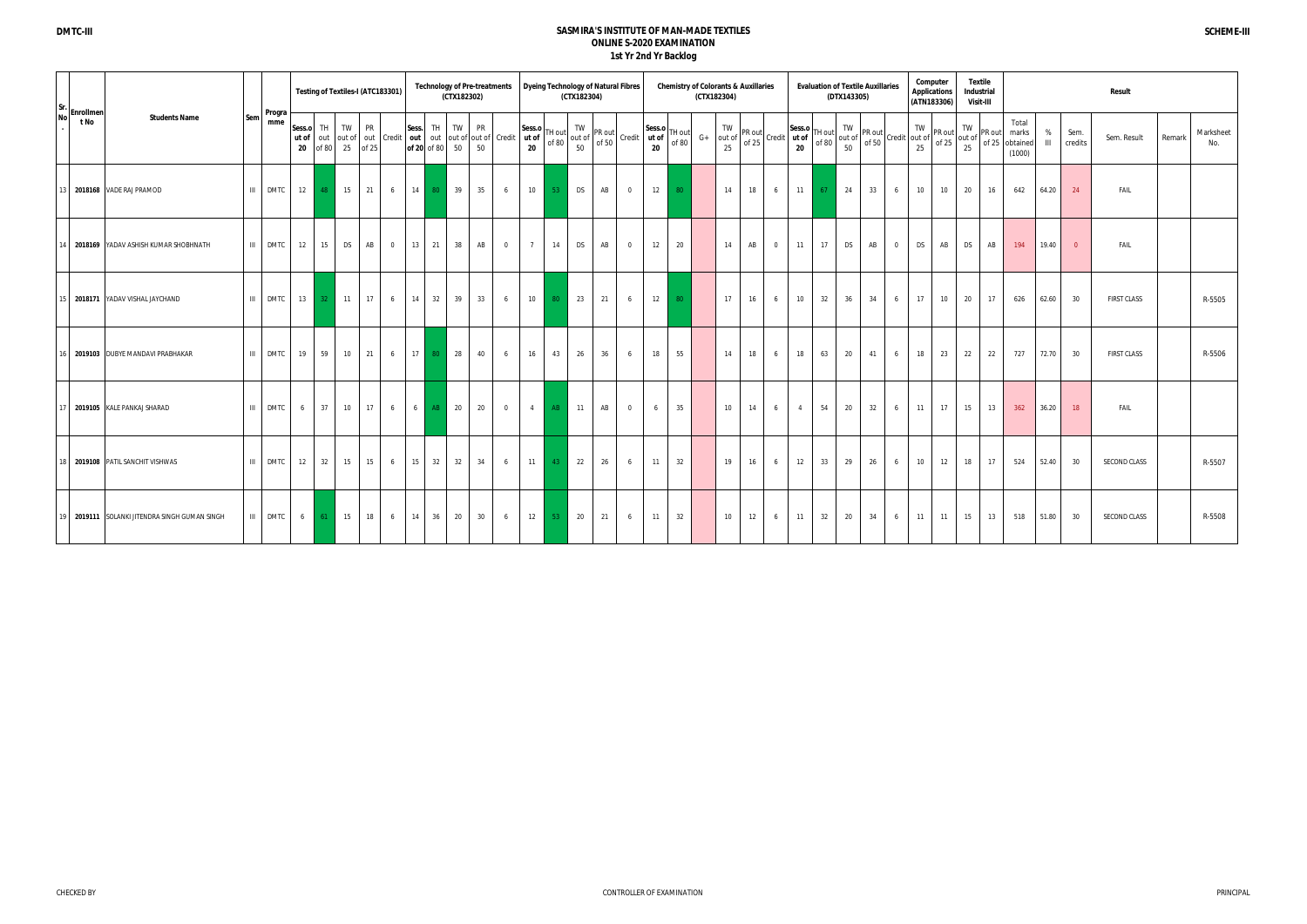| Sr. |                      |                                               |                               |                       |                    | Testing of Textiles-I (ATC183301) |                    |                 |                      | <b>Technology of Pre-treatments</b>                        | (CTX182302) |                 |                                  | Dyeing Technology of Natural Fibres | (CTX182304)        |                 |                |                       |                 |      | (CTX182304)        | <b>Chemistry of Colorants &amp; Auxillaries</b> |                |                              |                 | (DTX143305) | <b>Evaluation of Textile Auxillaries</b>                                              |                | Computer  | <b>Applications</b><br>(ATN183306) | Textile<br>Industrial<br><b>Visit-III</b> |        |                                            |                   |                 | Result                |                  |
|-----|----------------------|-----------------------------------------------|-------------------------------|-----------------------|--------------------|-----------------------------------|--------------------|-----------------|----------------------|------------------------------------------------------------|-------------|-----------------|----------------------------------|-------------------------------------|--------------------|-----------------|----------------|-----------------------|-----------------|------|--------------------|-------------------------------------------------|----------------|------------------------------|-----------------|-------------|---------------------------------------------------------------------------------------|----------------|-----------|------------------------------------|-------------------------------------------|--------|--------------------------------------------|-------------------|-----------------|-----------------------|------------------|
|     | No Enrollmen<br>t No | <b>Students Name</b>                          | Progra<br>Sem<br>mme          | Sess.o<br>ut of<br>20 | <b>TH</b><br>of 80 | TW<br>25                          | <b>PR</b><br>of 25 |                 | Sess.<br>of 20 of 80 | TH I<br>out out of out Credit out out out of out of Credit | TW<br>50    | <b>PR</b><br>50 | ut of<br>$20\degree$             | Sess.o TH out<br>of 80              | TW<br>out of<br>50 | PR out<br>of 50 | Credit         | Sess.o<br>ut of<br>20 | TH out<br>of 80 | $G+$ | TW<br>out of<br>25 | PR out<br>of $25$                               |                | Sess.o<br>Credit ut of<br>20 | TH out<br>of 80 | TW<br>50    | PR out<br>out of $\begin{bmatrix} 1 & 0 & 0 \\ 0 & 1 & 0 \end{bmatrix}$ Credit out of |                | TW<br>25  | PR out<br>of 25                    | TW<br>out of<br>25                        | PR out | Total<br>marks<br>of 25 obtained<br>(1000) | %<br>$\mathbf{H}$ | Sem.<br>credits | Sem. Result<br>Remark | Marksheet<br>No. |
|     |                      | 13 2018168 VADE RAJ PRAMOD                    | DMTC 12<br>$\mathbf{III}$     |                       | 48                 | 15                                | 21                 | $6\overline{6}$ | 14                   | 80                                                         | 39          | 35              | 10<br>6                          | $-53$                               | <b>DS</b>          | AB              | $\overline{0}$ | 12                    | 80 <sup>°</sup> |      | 14                 | 18                                              | 6              | 11                           | 67              | 24          | 33                                                                                    | 6              | 10        | 10                                 | 20                                        | 16     | 642                                        | 64.20             | 24              | FAIL                  |                  |
|     |                      | 14 2018169 YADAV ASHISH KUMAR SHOBHNATH       | $\mathbf{H}$<br><b>DMTC</b>   | 12                    | 15                 | DS                                | AB                 | $\overline{0}$  | 13                   | 21                                                         | 38          | AB              | $\overline{0}$<br>$\overline{7}$ | 14                                  | <b>DS</b>          | AB              | $\overline{0}$ | 12                    | 20              |      | 14                 | AB                                              | $\overline{0}$ | 11                           | 17              | <b>DS</b>   | AB                                                                                    | $\overline{0}$ | <b>DS</b> | AB                                 | <b>DS</b>                                 | AB     | 194                                        | 19.40             | $\overline{0}$  | FAIL                  |                  |
|     |                      | 2018171 YADAV VISHAL JAYCHAND                 | III<br>DMTC 13                |                       |                    | 32 11                             | 17                 | 6               | 14                   | 32                                                         | 39          | 33              | 10<br>6                          | 80                                  | 23                 | 21              | 6              | 12                    | 80              |      | 17                 | 16                                              | 6              | 10 <sup>1</sup>              | 32              | 36          | 34                                                                                    | 6              | 17        | 10                                 | 20                                        | 17     | 626                                        | 62.60             | 30              | <b>FIRST CLASS</b>    | R-5505           |
|     |                      | 16 2019103 DUBYE MANDAVI PRABHAKAR            | III<br><b>DMTC</b>            | 19                    | 59                 | 10 <sup>1</sup>                   | 21                 | 6               | 17 <sup>1</sup>      | 80                                                         | 28          | 40              | 16<br>6                          | 43                                  | 26                 | 36              | 6              | 18                    | 55              |      | 14                 | 18                                              | 6              | 18                           | 63              | 20          | 41                                                                                    | 6              | 18        | 23                                 | 22                                        | 22     | 727                                        | 72.70             | 30              | <b>FIRST CLASS</b>    | R-5506           |
|     |                      | 17 2019105 KALE PANKAJ SHARAD                 | III<br>DMTC                   | 6 1                   | 37                 | 10                                | 17 <sup>1</sup>    | 6 <sup>6</sup>  | 6 1                  | AB                                                         | 20          | 20              | $\overline{0}$                   | AB<br>$\sim$ 4                      | 11                 | AB              | $\overline{0}$ | 6                     | 35              |      | 10 <sup>10</sup>   | 14                                              | 6              | $\overline{4}$               | 54              | 20          | 32                                                                                    | 6              | 11        | 17                                 | 15                                        | 13     | 362                                        | 36.20             | 18              | FAIL                  |                  |
| 18  |                      | 2019108 PATIL SANCHIT VISHWAS                 | $\mathbf{III}$<br><b>DMTC</b> | 12                    | 32                 | 15                                | 15                 | 6               | 15                   | 32                                                         | 32          | 34              | 11<br>6                          | 43                                  | 22                 | 26              | 6              | 11                    | 32              |      | 19                 | 16                                              | 6              | 12                           | 33              | 29          | 26                                                                                    | 6              | 10        | 12                                 | 18                                        | 17     | 524                                        | 52.40             | 30              | SECOND CLASS          | R-5507           |
|     |                      | 19 2019111 SOLANKI JITENDRA SINGH GUMAN SINGH | $\mathbf{H}$<br>DMTC I        | 6 <sup>1</sup>        | 61                 | 15                                | 18                 | $6\overline{6}$ | 14                   | 36                                                         | 20          | 30              | 6                                | 12<br>$-53$                         | 20                 | 21              | 6              | 11                    | 32              |      | 10 <sup>1</sup>    | 12                                              | 6              | 11                           | 32              | 20          | 34                                                                                    | 6              | 11        | 11                                 | 15                                        | 13     | 518                                        | 51.80             | 30              | SECOND CLASS          | R-5508           |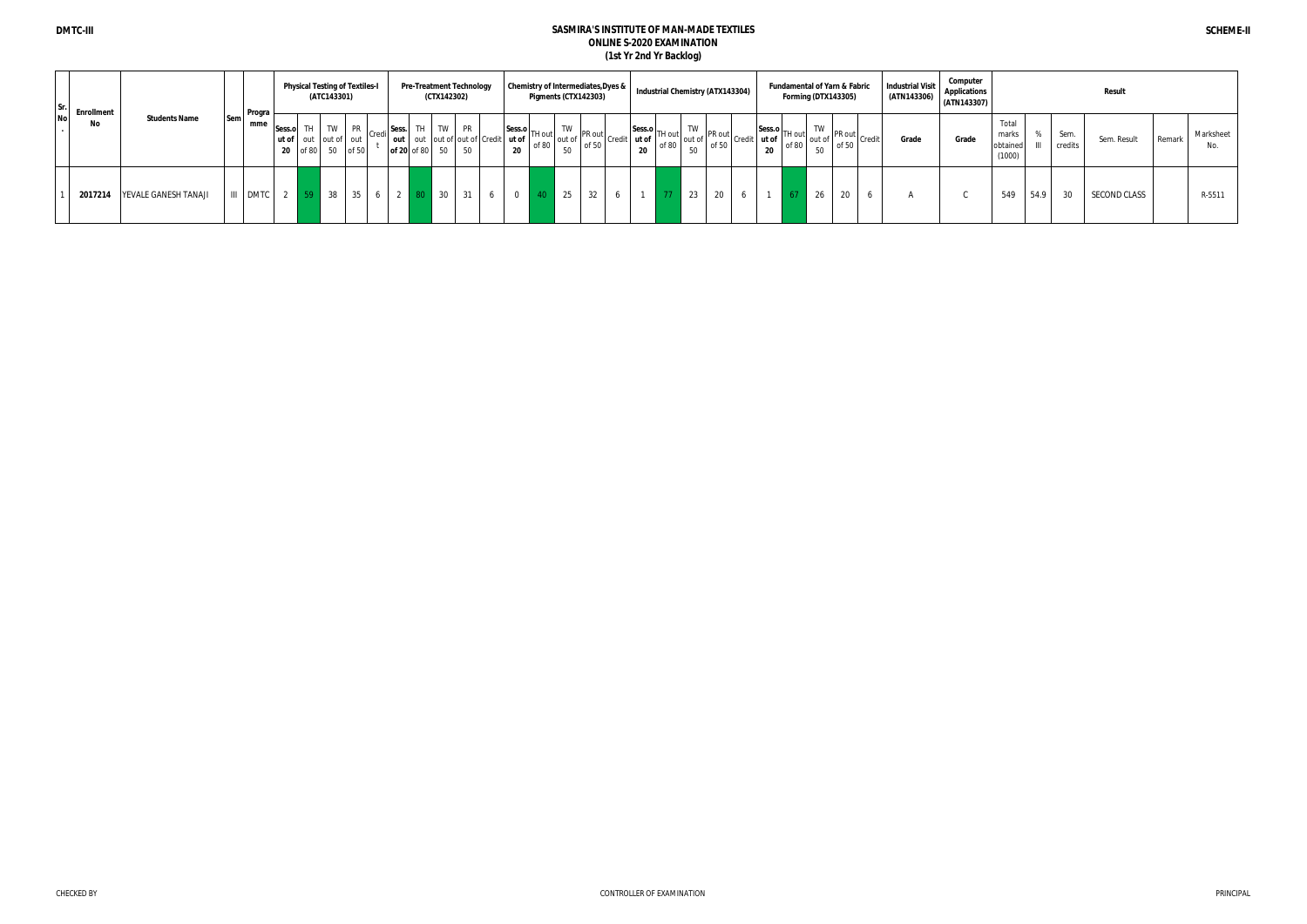|  | $\begin{vmatrix}$ Sr. Enrollment<br>No |                      |     | <b>Program</b><br>mme, |                 | <b>Physical Testing of Textiles-I</b><br>(ATC143301) |           |                                       |  |              | <b>Pre-Treatment Technology</b><br>(CTX142302) |                |                                            |                | <b>Chemistry of Intermediates, Dyes &amp;</b><br>Pigments (CTX142303)      |    |                                                                                                     |  |                                                               | Industrial Chemistry (ATX143304) |                                                                                         |      |  |       | Forming (DTX143305)                                                                 |    | <b>Fundamental of Yarn &amp; Fabric</b> |                                                            | <b>Industrial Visit</b><br>(ATN143306) | Computer<br><b>Applications</b><br>(ATN143307) |                                      | Result |                 |              |        |                  |
|--|----------------------------------------|----------------------|-----|------------------------|-----------------|------------------------------------------------------|-----------|---------------------------------------|--|--------------|------------------------------------------------|----------------|--------------------------------------------|----------------|----------------------------------------------------------------------------|----|-----------------------------------------------------------------------------------------------------|--|---------------------------------------------------------------|----------------------------------|-----------------------------------------------------------------------------------------|------|--|-------|-------------------------------------------------------------------------------------|----|-----------------------------------------|------------------------------------------------------------|----------------------------------------|------------------------------------------------|--------------------------------------|--------|-----------------|--------------|--------|------------------|
|  |                                        | <b>Students Name</b> | Sem |                        | Sess.o TH<br>20 | of 80 50                                             | <b>TW</b> | PR  <br>ut of out out of out<br>of 50 |  | Sess.<br>out | of 20 of 80                                    | TW<br>50       | PR<br>out out of out of Credit ut of<br>50 | 20             | $\begin{array}{c c}\n\text{Sess.o} \\ \hline\n\end{array}$ TH out<br>of 80 | 50 | $\begin{array}{c c}\n\text{TW} & \text{PR out} \\ \text{out of} & \text{of 50}\n\end{array}$ Credit |  | $ \text{Sess.o} \text{TH out} $<br>$+$ ut of $\Box$<br>$\sim$ | of 80                            | $\begin{bmatrix} 1 & 1 & 1 \\ 0 & 1 & 1 \\ 0 & 0 & 1 \end{bmatrix}$ PR out credit<br>50 |      |  | ut of | $\left  \frac{\text{Sess.o}}{\text{TH out}} \right $<br>$\log 100$ of 80 $\log 100$ | TW |                                         | $\frac{1}{100}$ of $\frac{PR}{P}$ out $\frac{Q}{P}$ credit | Grade                                  | Grade                                          | Total<br>marks<br>obtained<br>(1000) |        | Sem.<br>credits | Sem. Result  | Remark | Marksheet<br>No. |
|  | 2017214                                | YEVALE GANESH TANAJI |     | III DMTC               |                 | 59                                                   | 38        | 35                                    |  |              |                                                | $\frac{1}{30}$ | 31<br>$\circ$                              | $\overline{0}$ |                                                                            | 25 | 32                                                                                                  |  |                                                               |                                  | 23                                                                                      | 20 6 |  |       | 67                                                                                  | 26 | 20                                      |                                                            |                                        |                                                | 549                                  | 54.9   | 30              | SECOND CLASS |        | R-5511           |